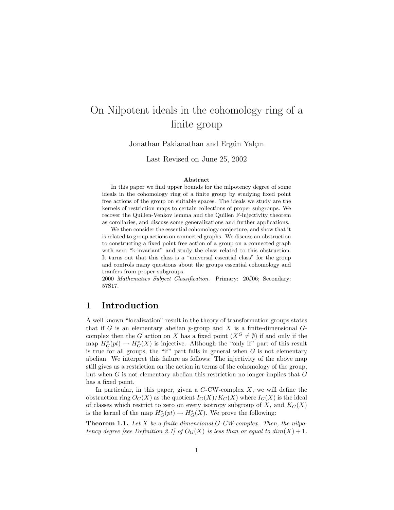# On Nilpotent ideals in the cohomology ring of a finite group

Jonathan Pakianathan and Ergün Yalçın

Last Revised on June 25, 2002

#### Abstract

In this paper we find upper bounds for the nilpotency degree of some ideals in the cohomology ring of a finite group by studying fixed point free actions of the group on suitable spaces. The ideals we study are the kernels of restriction maps to certain collections of proper subgroups. We recover the Quillen-Venkov lemma and the Quillen F-injectivity theorem as corollaries, and discuss some generalizations and further applications.

We then consider the essential cohomology conjecture, and show that it is related to group actions on connected graphs. We discuss an obstruction to constructing a fixed point free action of a group on a connected graph with zero "k-invariant" and study the class related to this obstruction. It turns out that this class is a "universal essential class" for the group and controls many questions about the groups essential cohomology and tranfers from proper subgroups.

2000 Mathematics Subject Classification. Primary: 20J06; Secondary: 57S17.

# 1 Introduction

A well known "localization" result in the theory of transformation groups states that if G is an elementary abelian  $p$ -group and X is a finite-dimensional  $G$ complex then the G action on X has a fixed point  $(X^G \neq \emptyset)$  if and only if the map  $H_G^*(pt) \to H_G^*(X)$  is injective. Although the "only if" part of this result is true for all groups, the "if" part fails in general when  $G$  is not elementary abelian. We interpret this failure as follows: The injectivity of the above map still gives us a restriction on the action in terms of the cohomology of the group, but when G is not elementary abelian this restriction no longer implies that G has a fixed point.

In particular, in this paper, given a  $G$ -CW-complex  $X$ , we will define the obstruction ring  $O_G(X)$  as the quotient  $I_G(X)/K_G(X)$  where  $I_G(X)$  is the ideal of classes which restrict to zero on every isotropy subgroup of  $X$ , and  $K_G(X)$ is the kernel of the map  $H^*_{G}(pt) \to H^*_{G}(X)$ . We prove the following:

**Theorem 1.1.** Let  $X$  be a finite dimensional  $G$ -CW-complex. Then, the nilpotency degree [see Definition 2.1] of  $O_G(X)$  is less than or equal to  $dim(X) + 1$ .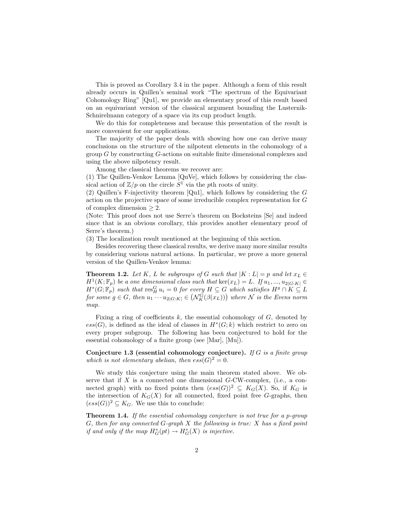This is proved as Corollary 3.4 in the paper. Although a form of this result already occurs in Quillen's seminal work "The spectrum of the Equivariant Cohomology Ring" [Qu1], we provide an elementary proof of this result based on an equivariant version of the classical argument bounding the Lusternik-Schnirelmann category of a space via its cup product length.

We do this for completeness and because this presentation of the result is more convenient for our applications.

The majority of the paper deals with showing how one can derive many conclusions on the structure of the nilpotent elements in the cohomology of a group G by constructing G-actions on suitable finite dimensional complexes and using the above nilpotency result.

Among the classical theorems we recover are:

(1) The Quillen-Venkov Lemma [QuVe], which follows by considering the classical action of  $\mathbb{Z}/p$  on the circle  $S^1$  via the pth roots of unity.

(2) Quillen's F-injectivity theorem [Qu1], which follows by considering the G action on the projective space of some irreducible complex representation for G of complex dimension  $\geq 2$ .

(Note: This proof does not use Serre's theorem on Bocksteins [Se] and indeed since that is an obvious corollary, this provides another elementary proof of Serre's theorem.)

(3) The localization result mentioned at the beginning of this section.

Besides recovering these classical results, we derive many more similar results by considering various natural actions. In particular, we prove a more general version of the Quillen-Venkov lemma:

**Theorem 1.2.** Let K, L be subgroups of G such that  $|K : L| = p$  and let  $x_L \in$  $H^1(K; \mathbb{F}_p)$  be a one dimensional class such that  $\ker(x_L) = L$ . If  $u_1, ..., u_{2|G:K|} \in$  $H^*(G; \mathbb{F}_p)$  such that  $\text{res}_H^G u_i = 0$  for every  $H \subseteq G$  which satisfies  $H^g \cap K \subseteq L$  $H^{\circ}(G; \mathbb{F}_p)$  such that  $\text{res}_{H}^{\circ} u_i = 0$  for every  $H \subseteq G$  which satisfies  $H^{\circ} \cap K \subseteq L$ <br>for some  $g \in G$ , then  $u_1 \cdots u_{2|G:K|} \in (\mathcal{N}_K^G(\beta(x_L)))$  where  $\mathcal N$  is the Evens norm map.

Fixing a ring of coefficients  $k$ , the essential cohomology of  $G$ , denoted by  $ess(G)$ , is defined as the ideal of classes in  $H^*(G;k)$  which restrict to zero on every proper subgroup. The following has been conjectured to hold for the essential cohomology of a finite group (see [Mar], [Mu]).

Conjecture 1.3 (essential cohomology conjecture). If G is a finite group which is not elementary abelian, then  $ess(G)^2 = 0$ .

We study this conjecture using the main theorem stated above. We observe that if  $X$  is a connected one dimensional  $G$ -CW-complex, (i.e., a connected graph) with no fixed points then  $(ess(G))^2 \subseteq K_G(X)$ . So, if  $K_G$  is the intersection of  $K_G(X)$  for all connected, fixed point free G-graphs, then  $(ess(G))^2 \subseteq K_G$ . We use this to conclude:

Theorem 1.4. If the essential cohomology conjecture is not true for a p-group  $G$ , then for any connected  $G$ -graph  $X$  the following is true:  $X$  has a fixed point if and only if the map  $H^*_{G}(pt) \to H^*_{G}(X)$  is injective.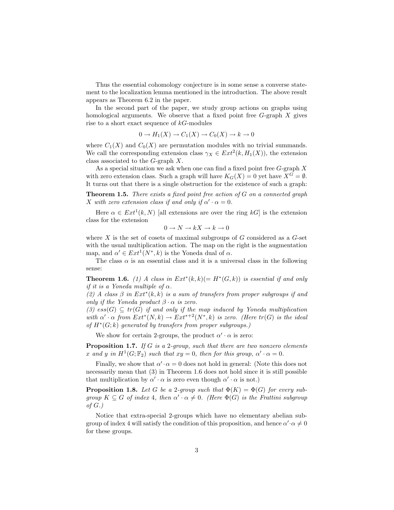Thus the essential cohomology conjecture is in some sense a converse statement to the localization lemma mentioned in the introduction. The above result appears as Theorem 6.2 in the paper.

In the second part of the paper, we study group actions on graphs using homological arguments. We observe that a fixed point free  $G$ -graph  $X$  gives rise to a short exact sequence of  $kG$ -modules

$$
0 \to H_1(X) \to C_1(X) \to C_0(X) \to k \to 0
$$

where  $C_1(X)$  and  $C_0(X)$  are permutation modules with no trivial summands. We call the corresponding extension class  $\gamma_X \in Ext^2(k, H_1(X))$ , the extension class associated to the G-graph X.

As a special situation we ask when one can find a fixed point free  $G$ -graph  $X$ with zero extension class. Such a graph will have  $K_G(X) = 0$  yet have  $X^G = \emptyset$ . It turns out that there is a single obstruction for the existence of such a graph:

**Theorem 1.5.** There exists a fixed point free action of  $G$  on a connected graph X with zero extension class if and only if  $\alpha' \cdot \alpha = 0$ .

Here  $\alpha \in Ext^1(k, N)$  [all extensions are over the ring kG] is the extension class for the extension

$$
0 \to N \to kX \to k \to 0
$$

where  $X$  is the set of cosets of maximal subgroups of  $G$  considered as a  $G$ -set with the usual multiplication action. The map on the right is the augmentation map, and  $\alpha' \in Ext^1(N^*, k)$  is the Yoneda dual of  $\alpha$ .

The class  $\alpha$  is an essential class and it is a universal class in the following sense:

**Theorem 1.6.** (1) A class in  $Ext^*(k, k) (= H^*(G, k))$  is essential if and only if it is a Yoneda multiple of  $\alpha$ .

(2) A class  $\beta$  in  $Ext^*(k, k)$  is a sum of transfers from proper subgroups if and only if the Yoneda product  $\beta \cdot \alpha$  is zero.

(3)  $ess(G) \subseteq tr(G)$  if and only if the map induced by Yoneda multiplication with  $\alpha' \cdot \alpha$  from  $Ext^*(N, k) \to Ext^{*+2}(N^*, k)$  is zero. (Here  $tr(G)$  is the ideal of  $H^*(G;k)$  generated by transfers from proper subgroups.)

We show for certain 2-groups, the product  $\alpha' \cdot \alpha$  is zero:

**Proposition 1.7.** If G is a 2-group, such that there are two nonzero elements x and y in  $H^1(G; \mathbb{F}_2)$  such that  $xy = 0$ , then for this group,  $\alpha' \cdot \alpha = 0$ .

Finally, we show that  $\alpha' \cdot \alpha = 0$  does not hold in general: (Note this does not necessarily mean that (3) in Theorem 1.6 does not hold since it is still possible that multiplication by  $\alpha' \cdot \alpha$  is zero even though  $\alpha' \cdot \alpha$  is not.)

**Proposition 1.8.** Let G be a 2-group such that  $\Phi(K) = \Phi(G)$  for every subgroup  $K \subseteq G$  of index 4, then  $\alpha' \cdot \alpha \neq 0$ . (Here  $\Phi(G)$  is the Frattini subgroup of  $G$ .)

Notice that extra-special 2-groups which have no elementary abelian subgroup of index 4 will satisfy the condition of this proposition, and hence  $\alpha' \cdot \alpha \neq 0$ for these groups.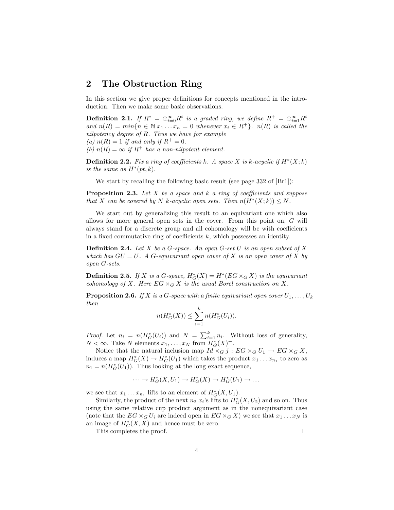## 2 The Obstruction Ring

In this section we give proper definitions for concepts mentioned in the introduction. Then we make some basic observations.

**Definition 2.1.** If  $R^* = \bigoplus_{i=0}^{\infty} R^i$  is a graded ring, we define  $R^+ = \bigoplus_{i=1}^{\infty} R^i$ and  $n(R) = min\{n \in \mathbb{N} | x_1 ... x_n = 0$  whenever  $x_i \in R^+\}$ .  $n(R)$  is called the nilpotency degree of R. Thus we have for example (a)  $n(R) = 1$  if and only if  $R^+ = 0$ . (b)  $n(R) = \infty$  if  $R^+$  has a non-nilpotent element.

**Definition 2.2.** Fix a ring of coefficients k. A space X is k-acyclic if  $H^*(X;k)$ is the same as  $H^*(pt, k)$ .

We start by recalling the following basic result (see page 332 of [Br1]):

**Proposition 2.3.** Let X be a space and k a ring of coefficients and suppose that X can be covered by N k-acyclic open sets. Then  $n(H^*(X; k)) \leq N$ .

We start out by generalizing this result to an equivariant one which also allows for more general open sets in the cover. From this point on, G will always stand for a discrete group and all cohomology will be with coefficients in a fixed commutative ring of coefficients  $k$ , which possesses an identity.

**Definition 2.4.** Let X be a G-space. An open G-set U is an open subset of X which has  $GU = U$ . A G-equivariant open cover of X is an open cover of X by open G-sets.

**Definition 2.5.** If X is a G-space,  $H_G^*(X) = H^*(EG \times_G X)$  is the equivariant cohomology of X. Here  $EG \times_G X$  is the usual Borel construction on X.

**Proposition 2.6.** If X is a G-space with a finite equivariant open cover  $U_1, \ldots, U_k$ then

$$
n(H_G^*(X)) \le \sum_{i=1}^k n(H_G^*(U_i)).
$$

*Proof.* Let  $n_i = n(H_G^*(U_i))$  and  $N = \sum_{i=1}^k n_i$ . Without loss of generality,  $N < \infty$ . Take N elements  $x_1, \ldots, x_N$  from  $H^*_G(X)^+$ .

Notice that the natural inclusion map  $Id \times_G j : EG \times_G U_1 \to EG \times_G X$ , induces a map  $H^*_{G}(X) \to H^*_{G}(U_1)$  which takes the product  $x_1 \dots x_{n_1}$  to zero as  $n_1 = n(H_G^*(U_1))$ . Thus looking at the long exact sequence,

$$
\cdots \to H^*_G(X, U_1) \to H^*_G(X) \to H^*_G(U_1) \to \ldots
$$

we see that  $x_1 \dots x_{n_1}$  lifts to an element of  $H^*_G(X, U_1)$ .

Similarly, the product of the next  $n_2 x_i$ 's lifts to  $H^*_G(X, U_2)$  and so on. Thus using the same relative cup product argument as in the nonequivariant case (note that the  $EG \times_G U_i$  are indeed open in  $EG \times_G X$ ) we see that  $x_1 \dots x_N$  is an image of  $H^*_{G}(X, X)$  and hence must be zero.

This completes the proof.

 $\Box$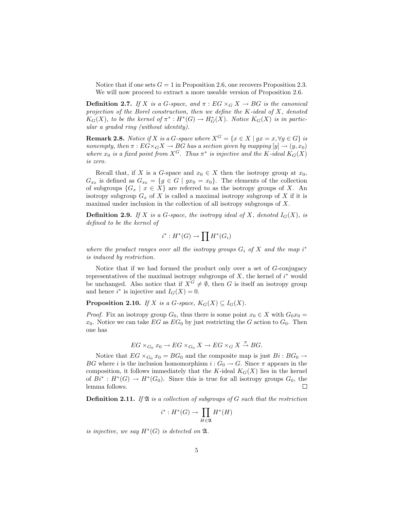Notice that if one sets  $G = 1$  in Proposition 2.6, one recovers Proposition 2.3. We will now proceed to extract a more useable version of Proposition 2.6.

**Definition 2.7.** If X is a G-space, and  $\pi$ :  $EG \times_G X \rightarrow BG$  is the canonical projection of the Borel construction, then we define the K-ideal of  $X$ , denoted  $K_G(X)$ , to be the kernel of  $\pi^*: H^*(G) \to H^*_G(X)$ . Notice  $K_G(X)$  is in particular a graded ring (without identity).

**Remark 2.8.** Notice if X is a G-space where  $X^G = \{x \in X \mid gx = x, \forall g \in G\}$  is nonempty, then  $\pi : E\ddot{G} \times_G X \to \dot{BG}$  has a section given by mapping  $[y] \to (y, x_0)$ where  $x_0$  is a fixed point from  $X^G$ . Thus  $\pi^*$  is injective and the K-ideal  $K_G(X)$ is zero.

Recall that, if X is a G-space and  $x_0 \in X$  then the isotropy group at  $x_0$ ,  $G_{x_0}$  is defined as  $G_{x_0} = \{g \in G \mid gx_0 = x_0\}$ . The elements of the collection of subgroups  $\{G_x \mid x \in X\}$  are referred to as the isotropy groups of X. An isotropy subgroup  $G_x$  of X is called a maximal isotropy subgroup of X if it is maximal under inclusion in the collection of all isotropy subgroups of X.

**Definition 2.9.** If X is a G-space, the isotropy ideal of X, denoted  $I_G(X)$ , is defined to be the kernel of

$$
i^*: H^*(G) \to \prod H^*(G_i)
$$

where the product ranges over all the isotropy groups  $G_i$  of X and the map i<sup>\*</sup> is induced by restriction.

Notice that if we had formed the product only over a set of G-conjugacy representatives of the maximal isotropy subgroups of  $X$ , the kernel of  $i^*$  would be unchanged. Also notice that if  $X^G \neq \emptyset$ , then G is itself an isotropy group and hence  $i^*$  is injective and  $I_G(X) = 0$ .

**Proposition 2.10.** If X is a G-space,  $K_G(X) \subseteq I_G(X)$ .

*Proof.* Fix an isotropy group  $G_0$ , thus there is some point  $x_0 \in X$  with  $G_0x_0 =$  $x_0$ . Notice we can take  $EG$  as  $EG_0$  by just restricting the G action to  $G_0$ . Then one has

$$
EG \times_{G_0} x_0 \to EG \times_{G_0} X \to EG \times_G X \stackrel{\pi}{\to} BG.
$$

Notice that  $EG \times_{G_0} x_0 = BG_0$  and the composite map is just  $Bi : BG_0 \rightarrow$ BG where i is the inclusion homomorphism  $i: G_0 \to G$ . Since  $\pi$  appears in the composition, it follows immediately that the K-ideal  $K_G(X)$  lies in the kernel of  $Bi^* : H^*(G) \to H^*(G_0)$ . Since this is true for all isotropy groups  $G_0$ , the lemma follows.  $\Box$ 

**Definition 2.11.** If  $\mathfrak{A}$  is a collection of subgroups of G such that the restriction

$$
i^*: H^*(G) \to \prod_{H \in \mathfrak{A}} H^*(H)
$$

is injective, we say  $H^*(G)$  is detected on  $\mathfrak{A}$ .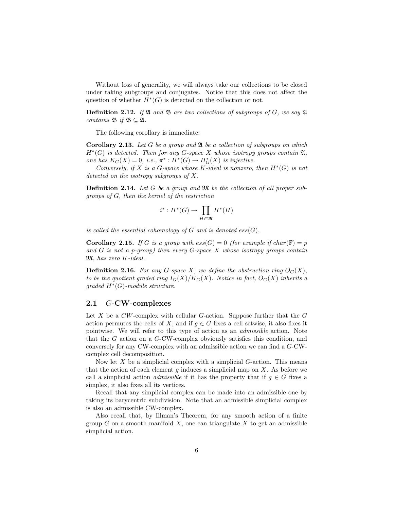Without loss of generality, we will always take our collections to be closed under taking subgroups and conjugates. Notice that this does not affect the question of whether  $H^*(G)$  is detected on the collection or not.

**Definition 2.12.** If  $\mathfrak A$  and  $\mathfrak B$  are two collections of subgroups of G, we say  $\mathfrak A$ contains  $\mathfrak{B}$  if  $\mathfrak{B} \subseteq \mathfrak{A}$ .

The following corollary is immediate:

**Corollary 2.13.** Let G be a group and  $\mathfrak A$  be a collection of subgroups on which  $H^*(G)$  is detected. Then for any G-space X whose isotropy groups contain  $\mathfrak{A},$ one has  $K_G(X) = 0$ , i.e.,  $\pi^* : H^*(G) \to H^*_G(X)$  is injective.

Conversely, if X is a G-space whose K-ideal is nonzero, then  $H^*(G)$  is not detected on the isotropy subgroups of X.

**Definition 2.14.** Let G be a group and  $\mathfrak{M}$  be the collection of all proper subgroups of G, then the kernel of the restriction

$$
i^*: H^*(G) \to \prod_{H \in \mathfrak{M}} H^*(H)
$$

is called the essential cohomology of  $G$  and is denoted  $ess(G)$ .

**Corollary 2.15.** If G is a group with  $ess(G) = 0$  (for example if  $char(\mathbb{F}) = p$ and  $G$  is not a p-group) then every  $G$ -space  $X$  whose isotropy groups contain M, has zero K-ideal.

**Definition 2.16.** For any G-space X, we define the obstruction ring  $O_G(X)$ , to be the quotient graded ring  $I_G(X)/K_G(X)$ . Notice in fact,  $O_G(X)$  inherits a  $graded H<sup>*</sup>(G)-module structure.$ 

#### 2.1 G-CW-complexes

Let  $X$  be a  $CW$ -complex with cellular  $G$ -action. Suppose further that the  $G$ action permutes the cells of X, and if  $g \in G$  fixes a cell setwise, it also fixes it pointwise. We will refer to this type of action as an admissible action. Note that the G action on a G-CW-complex obviously satisfies this condition, and conversely for any CW-complex with an admissible action we can find a G-CWcomplex cell decomposition.

Now let  $X$  be a simplicial complex with a simplicial  $G$ -action. This means that the action of each element  $g$  induces a simplicial map on  $X$ . As before we call a simplicial action *admissible* if it has the property that if  $q \in G$  fixes a simplex, it also fixes all its vertices.

Recall that any simplicial complex can be made into an admissible one by taking its barycentric subdivision. Note that an admissible simplicial complex is also an admissible CW-complex.

Also recall that, by Illman's Theorem, for any smooth action of a finite group  $G$  on a smooth manifold  $X$ , one can triangulate  $X$  to get an admissible simplicial action.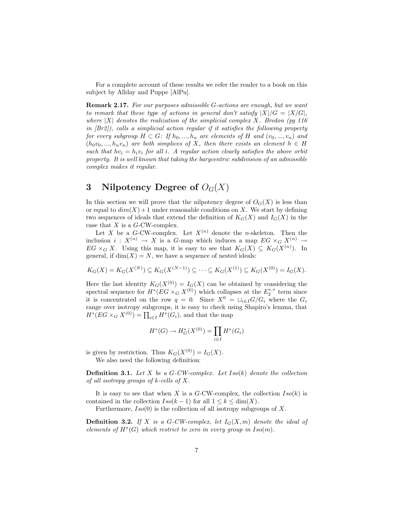For a complete account of these results we refer the reader to a book on this subject by Allday and Puppe [AlPu].

Remark 2.17. For our purposes admissible G-actions are enough, but we want to remark that these type of actions in general don't satisfy  $|X|/G = |X/G|$ , where  $|X|$  denotes the realization of the simplicial complex X. Bredon (pg 116) in  $[Br2]$ ), calls a simplicial action regular if it satisfies the following property for every subgroup  $H \subset G$ : If  $h_0, ..., h_n$  are elements of H and  $(v_0, ..., v_n)$  and  $(h_0v_0, ..., h_nv_n)$  are both simplices of X, then there exists an element  $h \in H$ such that  $hv_i = h_i v_i$  for all i. A regular action clearly satisfies the above orbit property. It is well known that taking the barycentric subdivision of an admissible complex makes it regular.

# 3 Nilpotency Degree of  $O_G(X)$

In this section we will prove that the nilpotency degree of  $O_G(X)$  is less than or equal to  $dim(X) + 1$  under reasonable conditions on X. We start by defining two sequences of ideals that extend the definition of  $K_G(X)$  and  $I_G(X)$  in the case that  $X$  is a  $G$ -CW-complex.

Let X be a G-CW-complex. Let  $X^{(n)}$  denote the *n*-skeleton. Then the inclusion  $i: X^{(n)} \to X$  is a G-map which induces a map  $EG \times_G X^{(n)} \to Y$  $EG \times_G X$ . Using this map, it is easy to see that  $K_G(X) \subseteq K_G(X^{(n)})$ . In general, if  $\dim(X) = N$ , we have a sequence of nested ideals:

$$
K_G(X) = K_G(X^{(N)}) \subseteq K_G(X^{(N-1)}) \subseteq \cdots \subseteq K_G(X^{(1)}) \subseteq K_G(X^{(0)}) = I_G(X).
$$

Here the last identity  $K_G(X^{(0)}) = I_G(X)$  can be obtained by considering the spectral sequence for  $H^*(EG \times_G X^{(0)})$  which collapses at the  $E_2^{*,*}$  term since it is concentrated on the row  $q = 0$ . Since  $X^0 = \sqcup_{i \in I} G/G_i$  where the  $G_i$ range over isotropy subgroups, it is easy to check using Shapiro's lemma, that range over isotropy subgroups, it is easy to check us  $H^*(EG \times_G X^{(0)}) = \prod_{i \in I} H^*(G_i)$ , and that the map

$$
H^*(G) \to H^*_G(X^{(0)}) = \prod_{i \in I} H^*(G_i)
$$

is given by restriction. Thus  $K_G(X^{(0)}) = I_G(X)$ . We also need the following definition:

**Definition 3.1.** Let  $X$  be a  $G$ -CW-complex. Let  $Iso(k)$  denote the collection of all isotropy groups of  $k$ -cells of X.

It is easy to see that when X is a G-CW-complex, the collection  $Iso(k)$  is contained in the collection  $Iso(k-1)$  for all  $1 \leq k \leq \dim(X)$ .

Furthermore,  $Iso(0)$  is the collection of all isotropy subgroups of X.

**Definition 3.2.** If X is a G-CW-complex, let  $I_G(X,m)$  denote the ideal of elements of  $H^*(G)$  which restrict to zero in every group in  $Iso(m)$ .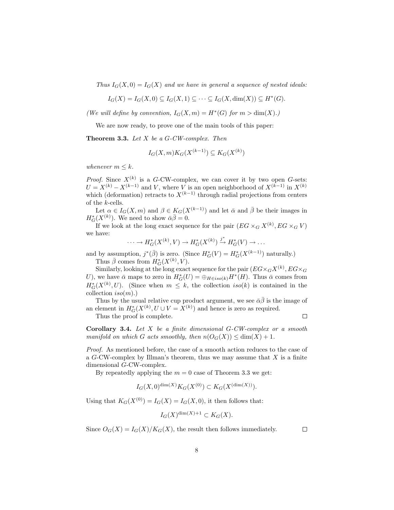Thus  $I_G(X, 0) = I_G(X)$  and we have in general a sequence of nested ideals:

$$
I_G(X) = I_G(X,0) \subseteq I_G(X,1) \subseteq \cdots \subseteq I_G(X,\dim(X)) \subseteq H^*(G).
$$

(We will define by convention,  $I_G(X,m) = H^*(G)$  for  $m > \dim(X)$ .)

We are now ready, to prove one of the main tools of this paper:

**Theorem 3.3.** Let  $X$  be a  $G$ -CW-complex. Then

$$
I_G(X, m)K_G(X^{(k-1)}) \subseteq K_G(X^{(k)})
$$

whenever  $m \leq k$ .

*Proof.* Since  $X^{(k)}$  is a G-CW-complex, we can cover it by two open G-sets:  $U = X^{(k)} - X^{(k-1)}$  and V, where V is an open neighborhood of  $X^{(k-1)}$  in  $X^{(k)}$ which (deformation) retracts to  $X^{(k-1)}$  through radial projections from centers of the k-cells.

Let  $\alpha \in I_G(X,m)$  and  $\beta \in K_G(X^{(k-1)})$  and let  $\bar{\alpha}$  and  $\bar{\beta}$  be their images in  $H^*_{G}(X^{(k)})$ . We need to show  $\bar{\alpha}\bar{\beta}=0$ .

If we look at the long exact sequence for the pair  $(EG \times_G X^{(k)}, EG \times_G V)$ we have:

$$
\cdots \to H^*_{G}(X^{(k)}, V) \to H^*_{G}(X^{(k)}) \xrightarrow{j^*} H^*_{G}(V) \to \dots
$$

and by assumption,  $j^*(\bar{\beta})$  is zero. (Since  $H^*_G(V) = H^*_G(X^{(k-1)})$  naturally.) Thus  $\bar{\beta}$  comes from  $H^*_G(X^{(k)}, V)$ .

Similarly, looking at the long exact sequence for the pair  $(EG \times_G X^{(k)}, EG \times_G$ U), we have  $\bar{\alpha}$  maps to zero in  $H^*_{G}(U) = \bigoplus_{H \in iso(k)} H^*(H)$ . Thus  $\bar{\alpha}$  comes from  $H^*_G(X^{(k)}, U)$ . (Since when  $m \leq k$ , the collection  $iso(k)$  is contained in the collection  $iso(m)$ .)

Thus by the usual relative cup product argument, we see  $\bar{\alpha}\bar{\beta}$  is the image of an element in  $H^*_{G}(X^{(k)}, U \cup V = X^{(k)})$  and hence is zero as required.  $\Box$ 

Thus the proof is complete.

**Corollary 3.4.** Let  $X$  be a finite dimensional  $G$ -CW-complex or a smooth manifold on which G acts smoothly, then  $n(O_G(X)) \leq \dim(X) + 1$ .

Proof. As mentioned before, the case of a smooth action reduces to the case of a  $G$ -CW-complex by Illman's theorem, thus we may assume that  $X$  is a finite dimensional G-CW-complex.

By repeatedly applying the  $m = 0$  case of Theorem 3.3 we get:

$$
I_G(X,0)^{\dim(X)} K_G(X^{(0)}) \subset K_G(X^{(\dim(X))}).
$$

Using that  $K_G(X^{(0)}) = I_G(X) = I_G(X, 0)$ , it then follows that:

$$
I_G(X)^{\dim(X)+1} \subset K_G(X).
$$

Since  $O_G(X) = I_G(X)/K_G(X)$ , the result then follows immediately.

 $\Box$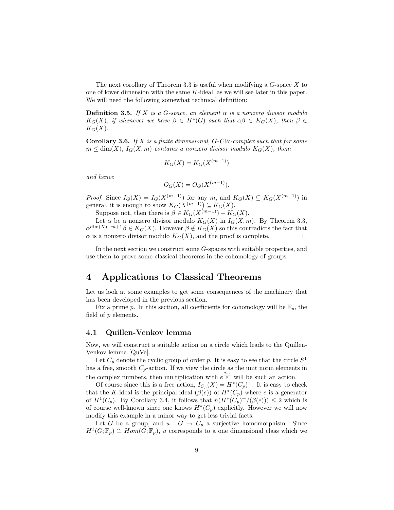The next corollary of Theorem 3.3 is useful when modifying a  $G$ -space  $X$  to one of lower dimension with the same K-ideal, as we will see later in this paper. We will need the following somewhat technical definition:

**Definition 3.5.** If X is a G-space, an element  $\alpha$  is a nonzero divisor modulo  $K_G(X)$ , if whenever we have  $\beta \in H^*(G)$  such that  $\alpha\beta \in K_G(X)$ , then  $\beta \in$  $K_G(X)$ .

**Corollary 3.6.** If  $X$  is a finite dimensional,  $G$ -CW-complex such that for some  $m \leq \dim(X)$ ,  $I_G(X,m)$  contains a nonzero divisor modulo  $K_G(X)$ , then:

$$
K_G(X) = K_G(X^{(m-1)})
$$

and hence

$$
O_G(X) = O_G(X^{(m-1)}).
$$

*Proof.* Since  $I_G(X) = I_G(X^{(m-1)})$  for any m, and  $K_G(X) \subseteq K_G(X^{(m-1)})$  in general, it is enough to show  $K_G(X^{(m-1)}) \subseteq K_G(X)$ .

Suppose not, then there is  $\beta \in K_G(X^{(m-1)}) - K_G(X)$ .

Let  $\alpha$  be a nonzero divisor modulo  $K_G(X)$  in  $I_G(X, m)$ . By Theorem 3.3,  $\alpha^{\dim(X)-m+1}\beta \in K_G(X)$ . However  $\beta \notin K_G(X)$  so this contradicts the fact that  $\alpha$  is a nonzero divisor modulo  $K_G(X)$ , and the proof is complete.  $\Box$ 

In the next section we construct some G-spaces with suitable properties, and use them to prove some classical theorems in the cohomology of groups.

# 4 Applications to Classical Theorems

Let us look at some examples to get some consequences of the machinery that has been developed in the previous section.

Fix a prime p. In this section, all coefficients for cohomology will be  $\mathbb{F}_p$ , the field of  $p$  elements.

#### 4.1 Quillen-Venkov lemma

Now, we will construct a suitable action on a circle which leads to the Quillen-Venkov lemma [QuVe].

Let  $C_p$  denote the cyclic group of order p. It is easy to see that the circle  $S^1$ has a free, smooth  $C_p$ -action. If we view the circle as the unit norm elements in the complex numbers, then multiplication with  $e^{\frac{2\pi i}{p}}$  will be such an action.

Of course since this is a free action,  $I_{C_p}(X) = H^*(C_p)^+$ . It is easy to check that the K-ideal is the principal ideal  $(\beta(e))$  of  $H^*(C_p)$  where e is a generator of  $H^1(C_p)$ . By Corollary 3.4, it follows that  $n(H^*(C_p)^+ / (\beta(e))) \leq 2$  which is of course well-known since one knows  $H^*(C_p)$  explicitly. However we will now modify this example in a minor way to get less trivial facts.

Let G be a group, and  $u : G \to C_p$  a surjective homomorphism. Since  $H^1(G; \mathbb{F}_p) \cong Hom(G; \mathbb{F}_p)$ , u corresponds to a one dimensional class which we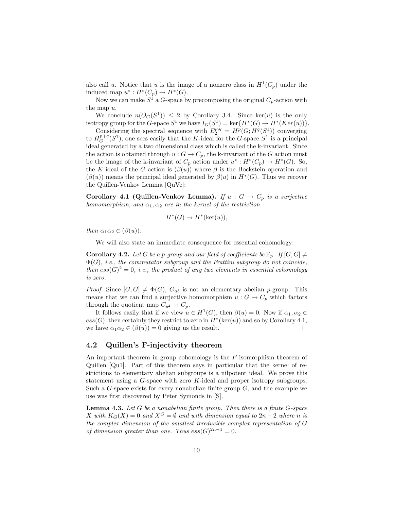also call u. Notice that u is the image of a nonzero class in  $H^1(C_p)$  under the induced map  $u^*: H^*(C_p) \to H^*(G)$ .

Now we can make  $S^1$  a G-space by precomposing the original  $C_p$ -action with the map u.

We conclude  $n(O_G(S^1)) \leq 2$  by Corollary 3.4. Since ker(u) is the only isotropy group for the G-space  $S^1$  we have  $I_G(S^1) = \ker\{H^*(G) \to H^*(Ker(u))\}.$ 

Considering the spectral sequence with  $E_2^{p,q} = H^p(G;H^q(S^1))$  converging to  $H_G^{p+q}(S^1)$ , one sees easily that the K-ideal for the G-space  $S^1$  is a principal ideal generated by a two dimensional class which is called the k-invariant. Since the action is obtained through  $u : G \to C_p$ , the k-invariant of the G action must be the image of the k-invariant of  $C_p$  action under  $u^*: H^*(C_p) \to H^*(G)$ . So, the K-ideal of the G action is  $(\beta(u))$  where  $\beta$  is the Bockstein operation and  $(\beta(u))$  means the principal ideal generated by  $\beta(u)$  in  $H^*(G)$ . Thus we recover the Quillen-Venkov Lemma [QuVe]:

Corollary 4.1 (Quillen-Venkov Lemma). If  $u : G \to C_p$  is a surjective homomorphism, and  $\alpha_1, \alpha_2$  are in the kernel of the restriction

$$
H^*(G) \to H^*(\ker(u)),
$$

then  $\alpha_1\alpha_2 \in (\beta(u))$ .

We will also state an immediate consequence for essential cohomology:

**Corollary 4.2.** Let G be a p-group and our field of coefficients be  $\mathbb{F}_p$ . If  $[G, G] \neq$  $\Phi(G)$ , i.e., the commutator subgroup and the Frattini subgroup do not coincide, then  $ess(G)^2 = 0$ , i.e., the product of any two elements in essential cohomology is zero.

*Proof.* Since  $[G, G] \neq \Phi(G)$ ,  $G_{ab}$  is not an elementary abelian p-group. This means that we can find a surjective homomorphism  $u : G \to C_p$  which factors through the quotient map  $C_{p^2} \to C_p$ .

It follows easily that if we view  $u \in H^1(G)$ , then  $\beta(u) = 0$ . Now if  $\alpha_1, \alpha_2 \in$  $ess(G)$ , then certainly they restrict to zero in  $H^*(\text{ker}(u))$  and so by Corollary 4.1, we have  $\alpha_1 \alpha_2 \in (\beta(u)) = 0$  giving us the result.  $\Box$ 

## 4.2 Quillen's F-injectivity theorem

An important theorem in group cohomology is the F-isomorphism theorem of Quillen [Qu1]. Part of this theorem says in particular that the kernel of restrictions to elementary abelian subgroups is a nilpotent ideal. We prove this statement using a G-space with zero K-ideal and proper isotropy subgroups. Such a  $G$ -space exists for every nonabelian finite group  $G$ , and the example we use was first discovered by Peter Symonds in [S].

**Lemma 4.3.** Let  $G$  be a nonabelian finite group. Then there is a finite  $G$ -space X with  $K_G(X) = 0$  and  $X^G = \emptyset$  and with dimension equal to  $2n - 2$  where n is the complex dimension of the smallest irreducible complex representation of G of dimension greater than one. Thus  $ess(G)^{2n-1} = 0$ .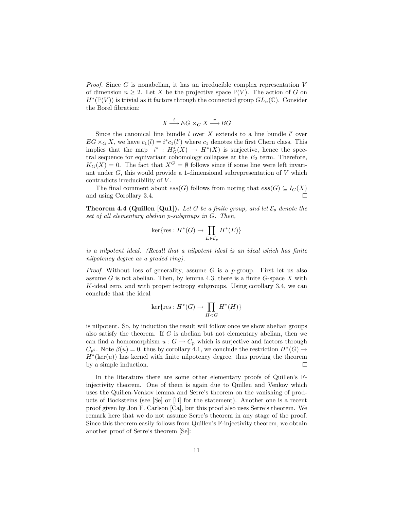*Proof.* Since G is nonabelian, it has an irreducible complex representation  $V$ of dimension  $n \geq 2$ . Let X be the projective space  $\mathbb{P}(V)$ . The action of G on  $H^*(\mathbb{P}(V))$  is trivial as it factors through the connected group  $GL_n(\mathbb{C})$ . Consider the Borel fibration:

$$
X\mathop{\longrightarrow}\limits^{i}EG\times_G X\mathop{\longrightarrow}\limits^{\pi} BG
$$

Since the canonical line bundle  $l$  over  $X$  extends to a line bundle  $l'$  over  $EG \times_G X$ , we have  $c_1(l) = i^* c_1(l')$  where  $c_1$  denotes the first Chern class. This implies that the map  $i^* : H^*_G(X) \to H^*(X)$  is surjective, hence the spectral sequence for equivariant cohomology collapses at the  $E_2$  term. Therefore,  $K_G(X) = 0$ . The fact that  $X^G = \emptyset$  follows since if some line were left invariant under  $G$ , this would provide a 1-dimensional subrepresentation of  $V$  which contradicts irreducibility of V.

The final comment about  $ess(G)$  follows from noting that  $ess(G) \subseteq I_G(X)$ and using Corollary 3.4.  $\Box$ 

**Theorem 4.4 (Quillen [Qu1]).** Let G be a finite group, and let  $\mathcal{E}_p$  denote the set of all elementary abelian p-subgroups in G. Then,

$$
\ker \{ \operatorname{res} : H^*(G) \to \prod_{E \in \mathcal{E}_p} H^*(E) \}
$$

is a nilpotent ideal. (Recall that a nilpotent ideal is an ideal which has finite nilpotency degree as a graded ring).

*Proof.* Without loss of generality, assume  $G$  is a p-group. First let us also assume G is not abelian. Then, by lemma 4.3, there is a finite  $G$ -space X with  $K$ -ideal zero, and with proper isotropy subgroups. Using corollary 3.4, we can conclude that the ideal

$$
\ker \{ \operatorname{res} : H^*(G) \to \prod_{H < G} H^*(H) \}
$$

is nilpotent. So, by induction the result will follow once we show abelian groups also satisfy the theorem. If  $G$  is abelian but not elementary abelian, then we can find a homomorphism  $u : G \to C_p$  which is surjective and factors through  $C_{p^2}$ . Note  $\beta(u) = 0$ , thus by corollary 4.1, we conclude the restriction  $H^*(G) \to$  $H^*(\text{ker}(u))$  has kernel with finite nilpotency degree, thus proving the theorem by a simple induction.  $\Box$ 

In the literature there are some other elementary proofs of Quillen's Finjectivity theorem. One of them is again due to Quillen and Venkov which uses the Quillen-Venkov lemma and Serre's theorem on the vanishing of products of Bocksteins (see [Se] or [B] for the statement). Another one is a recent proof given by Jon F. Carlson [Ca], but this proof also uses Serre's theorem. We remark here that we do not assume Serre's theorem in any stage of the proof. Since this theorem easily follows from Quillen's F-injectivity theorem, we obtain another proof of Serre's theorem [Se]: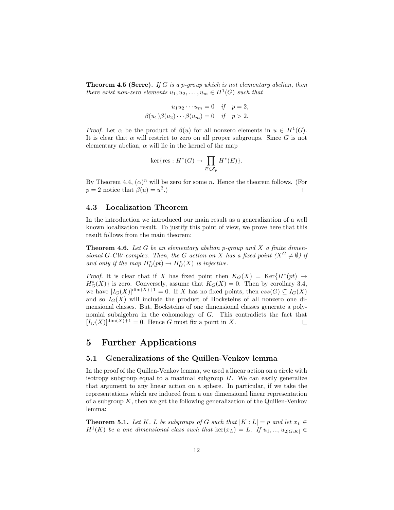**Theorem 4.5 (Serre).** If G is a p-group which is not elementary abelian, then there exist non-zero elements  $u_1, u_2, \ldots, u_m \in H^1(G)$  such that

$$
u_1 u_2 \cdots u_m = 0 \quad \text{if} \quad p = 2,
$$
  

$$
\beta(u_1)\beta(u_2)\cdots\beta(u_m) = 0 \quad \text{if} \quad p > 2.
$$

*Proof.* Let  $\alpha$  be the product of  $\beta(u)$  for all nonzero elements in  $u \in H^1(G)$ . It is clear that  $\alpha$  will restrict to zero on all proper subgroups. Since G is not elementary abelian,  $\alpha$  will lie in the kernel of the map

$$
\ker \{ \operatorname{res} : H^*(G) \to \prod_{E \in \mathcal{E}_p} H^*(E) \}.
$$

By Theorem 4.4,  $(\alpha)^n$  will be zero for some n. Hence the theorem follows. (For  $p = 2$  notice that  $\beta(u) = u^2$ .  $\Box$ 

## 4.3 Localization Theorem

In the introduction we introduced our main result as a generalization of a well known localization result. To justify this point of view, we prove here that this result follows from the main theorem:

**Theorem 4.6.** Let  $G$  be an elementary abelian p-group and  $X$  a finite dimensional G-CW-complex. Then, the G action on X has a fixed point  $(X^G \neq \emptyset)$  if and only if the map  $H^*_{G}(pt) \to H^*_{G}(X)$  is injective.

*Proof.* It is clear that if X has fixed point then  $K_G(X) = \text{Ker}\lbrace H^*(pt) \rightarrow$  $H_G^*(X)$  is zero. Conversely, assume that  $K_G(X) = 0$ . Then by corollary 3.4, we have  $[I_G(X)]^{\dim(X)+1} = 0$ . If X has no fixed points, then  $ess(G) \subseteq I_G(X)$ and so  $I_G(X)$  will include the product of Bocksteins of all nonzero one dimensional classes. But, Bocksteins of one dimensional classes generate a polynomial subalgebra in the cohomology of G. This contradicts the fact that  $[I_G(X)]^{\dim(X)+1} = 0$ . Hence G must fix a point in X.  $\Box$ 

# 5 Further Applications

#### 5.1 Generalizations of the Quillen-Venkov lemma

In the proof of the Quillen-Venkov lemma, we used a linear action on a circle with isotropy subgroup equal to a maximal subgroup  $H$ . We can easily generalize that argument to any linear action on a sphere. In particular, if we take the representations which are induced from a one dimensional linear representation of a subgroup  $K$ , then we get the following generalization of the Quillen-Venkov lemma:

**Theorem 5.1.** Let K, L be subgroups of G such that  $|K : L| = p$  and let  $x_L \in$  $H^1(K)$  be a one dimensional class such that  $\ker(x_L) = L$ . If  $u_1, ..., u_{2|G:K|} \in$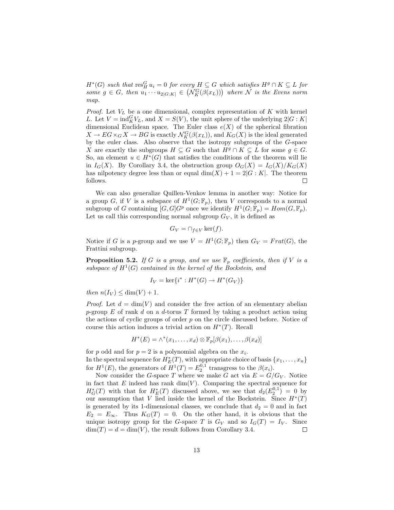$H^*(G)$  such that  $\operatorname{res}_H^G u_i = 0$  for every  $H \subseteq G$  which satisfies  $H^g \cap K \subseteq L$  for  $B^+(G)$  such that  $\text{res}_{H}^{G} u_i = 0$  for every  $H \subseteq G$  which satisfies  $H^g \cap K \subseteq L$  for some  $g \in G$ , then  $u_1 \cdots u_{2|G:K|} \in (\mathcal{N}_{K}^G(\beta(x_L)))$  where  $\mathcal N$  is the Evens norm map.

*Proof.* Let  $V_L$  be a one dimensional, complex representation of  $K$  with kernel L. Let  $V = \text{ind}_{K}^{G}V_{L}$ , and  $X = S(V)$ , the unit sphere of the underlying  $2|G:K|$ dimensional Euclidean space. The Euler class  $e(X)$  of the spherical fibration  $X \to EG \times_G X \to BG$  is exactly  $\mathcal{N}_K^G(\beta(x_L))$ , and  $K_G(X)$  is the ideal generated by the euler class. Also observe that the isotropy subgroups of the G-space X are exactly the subgroups  $H \subseteq G$  such that  $H^g \cap K \subseteq L$  for some  $g \in G$ . So, an element  $u \in H^*(G)$  that satisfies the conditions of the theorem will lie in  $I_G(X)$ . By Corollary 3.4, the obstruction group  $O_G(X) = I_G(X)/K_G(X)$ has nilpotency degree less than or equal  $\dim(X) + 1 = 2|G:K|$ . The theorem follows.  $\Box$ 

We can also generalize Quillen-Venkov lemma in another way: Notice for a group G, if V is a subspace of  $H^1(G; \mathbb{F}_p)$ , then V corresponds to a normal subgroup of G containing  $[G, G]$  once we identify  $H^1(G; \mathbb{F}_p) = Hom(G, \mathbb{F}_p)$ . Let us call this corresponding normal subgroup  $G_V$ , it is defined as

$$
G_V = \cap_{f \in V} \ker(f).
$$

Notice if G is a p-group and we use  $V = H^1(G; \mathbb{F}_p)$  then  $G_V = Frat(G)$ , the Frattini subgroup.

**Proposition 5.2.** If G is a group, and we use  $\mathbb{F}_p$  coefficients, then if V is a subspace of  $H^1(G)$  contained in the kernel of the Bockstein, and

$$
I_V = \ker\{i^* : H^*(G) \to H^*(G_V)\}
$$

then  $n(I_V) \leq \dim(V) + 1$ .

*Proof.* Let  $d = \dim(V)$  and consider the free action of an elementary abelian  $p$ -group E of rank d on a d-torus T formed by taking a product action using the actions of cyclic groups of order  $p$  on the circle discussed before. Notice of course this action induces a trivial action on  $H^*(T)$ . Recall

$$
H^*(E) = \wedge^*(x_1, \dots, x_d) \otimes \mathbb{F}_p[\beta(x_1), \dots, \beta(x_d)]
$$

for p odd and for  $p = 2$  is a polynomial algebra on the  $x_i$ . In the spectral sequence for  $H_E^*(T)$ , with appropriate choice of basis  $\{x_1, \ldots, x_n\}$ for  $H^1(E)$ , the generators of  $H^1(T) = E_2^{0,1}$  transgress to the  $\beta(x_i)$ .

Now consider the G-space T where we make G act via  $E = G/G_V$ . Notice in fact that  $E$  indeed has rank dim(V). Comparing the spectral sequence for  $H^*_G(T)$  with that for  $H^*_E(T)$  discussed above, we see that  $d_2(E_2^{0,1}) = 0$  by our assumption that V lied inside the kernel of the Bockstein. Since  $H^*(T)$ is generated by its 1-dimensional classes, we conclude that  $d_2 = 0$  and in fact  $E_2 = E_{\infty}$ . Thus  $K_G(T) = 0$ . On the other hand, it is obvious that the unique isotropy group for the G-space T is  $G_V$  and so  $I_G(T) = I_V$ . Since  $\dim(T) = d = \dim(V)$ , the result follows from Corollary 3.4.  $\Box$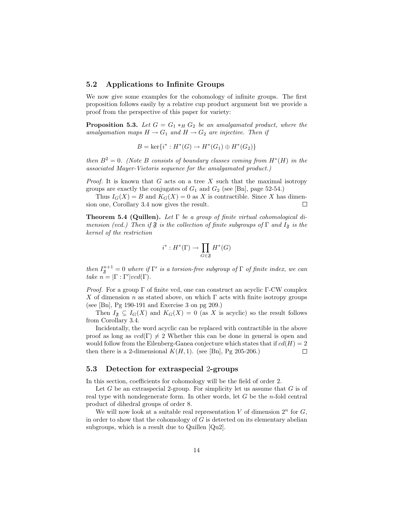## 5.2 Applications to Infinite Groups

We now give some examples for the cohomology of infinite groups. The first proposition follows easily by a relative cup product argument but we provide a proof from the perspective of this paper for variety:

**Proposition 5.3.** Let  $G = G_1 *_{H} G_2$  be an amalgamated product, where the amalgamation maps  $H \to G_1$  and  $H \to G_2$  are injective. Then if

$$
B = \ker\{i^* : H^*(G) \to H^*(G_1) \oplus H^*(G_2)\}
$$

then  $B^2 = 0$ . (Note B consists of boundary classes coming from  $H^*(H)$  in the associated Mayer-Vietoris sequence for the amalgamated product.)

*Proof.* It is known that G acts on a tree X such that the maximal isotropy groups are exactly the conjugates of  $G_1$  and  $G_2$  (see [Bn], page 52-54.)

Thus  $I_G(X) = B$  and  $K_G(X) = 0$  as X is contractible. Since X has dimension one, Corollary 3.4 now gives the result.  $\Box$ 

**Theorem 5.4 (Quillen).** Let  $\Gamma$  be a group of finite virtual cohomological dimension (vcd.) Then if  $\mathfrak F$  is the collection of finite subgroups of  $\Gamma$  and  $I_{\mathfrak F}$  is the kernel of the restriction

$$
i^*: H^*(\Gamma) \to \prod_{G \in \mathfrak{F}} H^*(G)
$$

then  $I_{\mathfrak{F}}^{n+1} = 0$  where if  $\Gamma'$  is a torsion-free subgroup of  $\Gamma$  of finite index, we can take  $n = |\Gamma : \Gamma'| vcd(\Gamma)$ .

*Proof.* For a group Γ of finite vcd, one can construct an acyclic Γ-CW complex X of dimension n as stated above, on which  $\Gamma$  acts with finite isotropy groups (see [Bn], Pg 190-191 and Exercise 3 on pg 209.)

Then  $I_{\mathfrak{F}} \subseteq I_G(X)$  and  $K_G(X) = 0$  (as X is acyclic) so the result follows from Corollary 3.4.

Incidentally, the word acyclic can be replaced with contractible in the above proof as long as  $vcd(\Gamma) \neq 2$  Whether this can be done in general is open and would follow from the Eilenberg-Ganea conjecture which states that if  $cd(H) = 2$ then there is a 2-dimensional  $K(H, 1)$ . (see [Bn], Pg 205-206.)  $\Box$ 

## 5.3 Detection for extraspecial 2-groups

In this section, coefficients for cohomology will be the field of order 2.

Let  $G$  be an extraspecial 2-group. For simplicity let us assume that  $G$  is of real type with nondegenerate form. In other words, let  $G$  be the *n*-fold central product of dihedral groups of order 8.

We will now look at a suitable real representation V of dimension  $2<sup>n</sup>$  for G, in order to show that the cohomology of  $G$  is detected on its elementary abelian subgroups, which is a result due to Quillen [Qu2].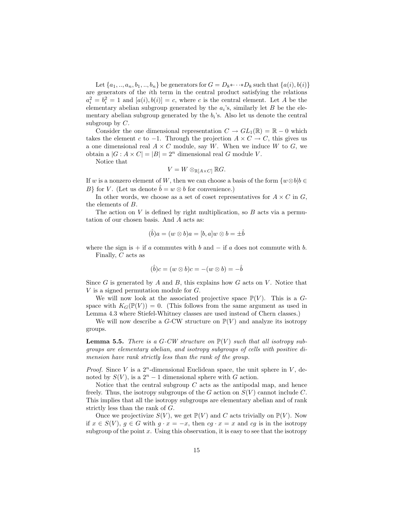Let  $\{a_1, ..., a_n, b_1, ..., b_n\}$  be generators for  $G = D_8 * \cdots * D_8$  such that  $\{a(i), b(i)\}$ are generators of the ith term in the central product satisfying the relations  $a_i^2 = b_i^2 = 1$  and  $[a(i), b(i)] = c$ , where c is the central element. Let A be the elementary abelian subgroup generated by the  $a_i$ 's, similarly let  $B$  be the elementary abelian subgroup generated by the  $b_i$ 's. Also let us denote the central subgroup by  $C$ .

Consider the one dimensional representation  $C \to GL_1(\mathbb{R}) = \mathbb{R} - 0$  which takes the element c to  $-1$ . Through the projection  $A \times C \to C$ , this gives us a one dimensional real  $A \times C$  module, say W. When we induce W to G, we obtain a  $|G : A \times C| = |B| = 2^n$  dimensional real G module V.

Notice that

$$
V = W \otimes_{\mathbb{R}[A \times C]} \mathbb{R}G.
$$

If w is a nonzero element of W, then we can choose a basis of the form  $\{w \otimes b | b \in$ B} for V. (Let us denote  $\hat{b} = w \otimes b$  for convenience.)

In other words, we choose as a set of coset representatives for  $A \times C$  in G, the elements of B.

The action on  $V$  is defined by right multiplication, so  $B$  acts via a permutation of our chosen basis. And A acts as:

$$
(\hat{b})a = (w \otimes b)a = [b, a]w \otimes b = \pm \hat{b}
$$

where the sign is + if  $a$  commutes with  $b$  and  $-$  if  $a$  does not commute with  $b$ . Finally,  $C$  acts as

$$
(\hat{b})c = (w \otimes b)c = -(w \otimes b) = -\hat{b}
$$

Since  $G$  is generated by  $A$  and  $B$ , this explains how  $G$  acts on  $V$ . Notice that V is a signed permutation module for G.

We will now look at the associated projective space  $\mathbb{P}(V)$ . This is a Gspace with  $K_G(\mathbb{P}(V)) = 0$ . (This follows from the same argument as used in Lemma 4.3 where Stiefel-Whitney classes are used instead of Chern classes.)

We will now describe a G-CW structure on  $\mathbb{P}(V)$  and analyze its isotropy groups.

**Lemma 5.5.** There is a G-CW structure on  $\mathbb{P}(V)$  such that all isotropy subgroups are elementary abelian, and isotropy subgroups of cells with positive dimension have rank strictly less than the rank of the group.

*Proof.* Since V is a  $2^n$ -dimensional Euclidean space, the unit sphere in V, denoted by  $S(V)$ , is a  $2<sup>n</sup> - 1$  dimensional sphere with G action.

Notice that the central subgroup  $C$  acts as the antipodal map, and hence freely. Thus, the isotropy subgroups of the G action on  $S(V)$  cannot include C. This implies that all the isotropy subgroups are elementary abelian and of rank strictly less than the rank of G.

Once we projectivize  $S(V)$ , we get  $\mathbb{P}(V)$  and C acts trivially on  $\mathbb{P}(V)$ . Now if  $x \in S(V)$ ,  $g \in G$  with  $g \cdot x = -x$ , then  $cg \cdot x = x$  and  $cg$  is in the isotropy subgroup of the point  $x$ . Using this observation, it is easy to see that the isotropy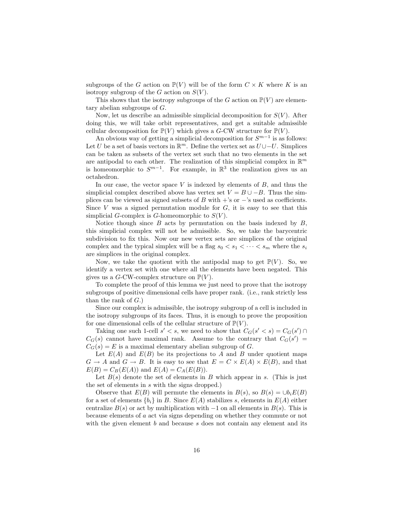subgroups of the G action on  $\mathbb{P}(V)$  will be of the form  $C \times K$  where K is an isotropy subgroup of the G action on  $S(V)$ .

This shows that the isotropy subgroups of the G action on  $\mathbb{P}(V)$  are elementary abelian subgroups of G.

Now, let us describe an admissible simplicial decomposition for  $S(V)$ . After doing this, we will take orbit representatives, and get a suitable admissible cellular decomposition for  $\mathbb{P}(V)$  which gives a G-CW structure for  $\mathbb{P}(V)$ .

An obvious way of getting a simplicial decomposition for  $S^{m-1}$  is as follows: Let U be a set of basis vectors in  $\mathbb{R}^m$ . Define the vertex set as  $U \cup -U$ . Simplices can be taken as subsets of the vertex set such that no two elements in the set are antipodal to each other. The realization of this simplicial complex in  $\mathbb{R}^m$ is homeomorphic to  $S^{m-1}$ . For example, in  $\mathbb{R}^3$  the realization gives us an octahedron.

In our case, the vector space  $V$  is indexed by elements of  $B$ , and thus the simplicial complex described above has vertex set  $V = B \cup -B$ . Thus the simplices can be viewed as signed subsets of B with  $+$ 's or  $-$ 's used as coefficients. Since V was a signed permutation module for  $G$ , it is easy to see that this simplicial G-complex is G-homeomorphic to  $S(V)$ .

Notice though since  $B$  acts by permutation on the basis indexed by  $B$ , this simplicial complex will not be admissible. So, we take the barycentric subdivision to fix this. Now our new vertex sets are simplices of the original complex and the typical simplex will be a flag  $s_0 < s_1 < \cdots < s_m$  where the  $s_i$ are simplices in the original complex.

Now, we take the quotient with the antipodal map to get  $\mathbb{P}(V)$ . So, we identify a vertex set with one where all the elements have been negated. This gives us a G-CW-complex structure on  $\mathbb{P}(V)$ .

To complete the proof of this lemma we just need to prove that the isotropy subgroups of positive dimensional cells have proper rank. (i.e., rank strictly less than the rank of  $G$ .)

Since our complex is admissible, the isotropy subgroup of a cell is included in the isotropy subgroups of its faces. Thus, it is enough to prove the proposition for one dimensional cells of the cellular structure of  $\mathbb{P}(V)$ .

Taking one such 1-cell  $s' < s$ , we need to show that  $C_G(s' < s) = C_G(s') \cap$  $C_G(s)$  cannot have maximal rank. Assume to the contrary that  $C_G(s') =$  $C_G(s) = E$  is a maximal elementary abelian subgroup of G.

Let  $E(A)$  and  $E(B)$  be its projections to A and B under quotient maps  $G \to A$  and  $G \to B$ . It is easy to see that  $E = C \times E(A) \times E(B)$ , and that  $E(B) = C_B(E(A))$  and  $E(A) = C_A(E(B)).$ 

Let  $B(s)$  denote the set of elements in B which appear in s. (This is just the set of elements in s with the signs dropped.)

Observe that  $E(B)$  will permute the elements in  $B(s)$ , so  $B(s) = \bigcup_{i=1}^{k} E(B)$ for a set of elements  ${b_i}$  in B. Since  $E(A)$  stabilizes s, elements in  $E(A)$  either centralize  $B(s)$  or act by multiplication with  $-1$  on all elements in  $B(s)$ . This is because elements of a act via signs depending on whether they commute or not with the given element  $b$  and because  $s$  does not contain any element and its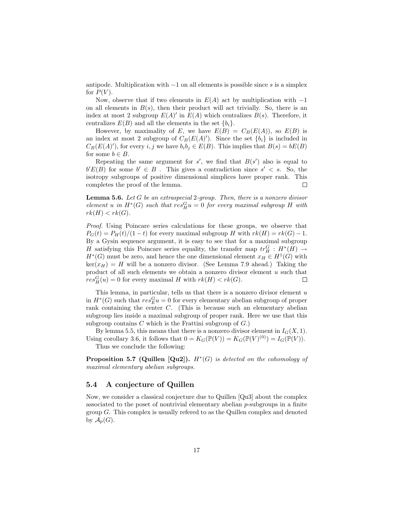antipode. Multiplication with  $-1$  on all elements is possible since s is a simplex for  $P(V)$ .

Now, observe that if two elements in  $E(A)$  act by multiplication with  $-1$ on all elements in  $B(s)$ , then their product will act trivially. So, there is an index at most 2 subgroup  $E(A)'$  in  $E(A)$  which centralizes  $B(s)$ . Therefore, it centralizes  $E(B)$  and all the elements in the set  $\{b_i\}$ .

However, by maximality of E, we have  $E(B) = C_B(E(A))$ , so  $E(B)$  is an index at most 2 subgroup of  $C_B(E(A))$ . Since the set  $\{b_i\}$  is included in  $C_B(E(A)')$ , for every i, j we have  $b_i b_j \in E(B)$ . This implies that  $B(s) = bE(B)$ for some  $b \in B$ .

Repeating the same argument for  $s'$ , we find that  $B(s')$  also is equal to  $b'E(B)$  for some  $b' \in B$ . This gives a contradiction since  $s' < s$ . So, the isotropy subgroups of positive dimensional simplices have proper rank. This completes the proof of the lemma.  $\Box$ 

**Lemma 5.6.** Let  $G$  be an extraspecial 2-group. Then, there is a nonzero divisor element u in  $H^*(G)$  such that  $res_H^G u = 0$  for every maximal subgroup H with  $rk(H) < rk(G).$ 

Proof. Using Poincare series calculations for these groups, we observe that  $P_G(t) = P_H(t)/(1-t)$  for every maximal subgroup H with  $rk(H) = rk(G) - 1$ . By a Gysin sequence argument, it is easy to see that for a maximal subgroup H satisfying this Poincare series equality, the transfer map  $tr_H^G$  :  $H^*(H) \rightarrow$  $H^*(G)$  must be zero, and hence the one dimensional element  $x_H \in H^1(G)$  with  $\ker(x_H) = H$  will be a nonzero divisor. (See Lemma 7.9 ahead.) Taking the product of all such elements we obtain a nonzero divisor element  $u$  such that  $res_H^G(u) = 0$  for every maximal H with  $rk(H) < rk(G)$ .  $\Box$ 

This lemma, in particular, tells us that there is a nonzero divisor element  $u$ in  $H^*(G)$  such that  $res_E^G u = 0$  for every elementary abelian subgroup of proper rank containing the center C. (This is because such an elementary abelian subgroup lies inside a maximal subgroup of proper rank. Here we use that this subgroup contains  $C$  which is the Frattini subgroup of  $G$ .)

By lemma 5.5, this means that there is a nonzero divisor element in  $I_G(X, 1)$ . Using corollary 3.6, it follows that  $0 = K_G(\mathbb{P}(V)) = K_G(\mathbb{P}(V)^{(0)}) = I_G(\mathbb{P}(V)).$ Thus we conclude the following:

**Proposition 5.7 (Quillen [Qu2]).**  $H^*(G)$  is detected on the cohomology of maximal elementary abelian subgroups.

### 5.4 A conjecture of Quillen

Now, we consider a classical conjecture due to Quillen [Qu3] about the complex associated to the poset of nontrivial elementary abelian  $p$ -subgroups in a finite group G. This complex is usually refered to as the Quillen complex and denoted by  $\mathcal{A}_p(G)$ .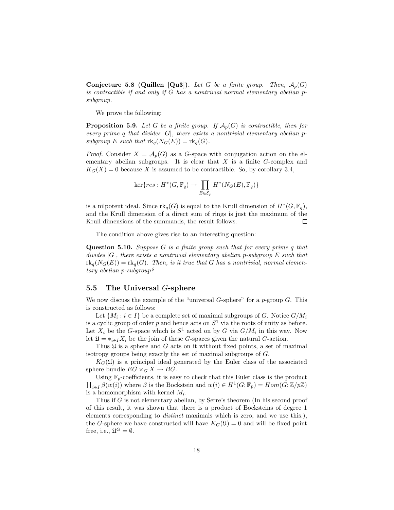Conjecture 5.8 (Quillen [Qu3]). Let G be a finite group. Then,  $A_p(G)$ is contractible if and only if G has a nontrivial normal elementary abelian psubgroup.

We prove the following:

**Proposition 5.9.** Let G be a finite group. If  $\mathcal{A}_p(G)$  is contractible, then for every prime q that divides  $|G|$ , there exists a nontrivial elementary abelian psubgroup E such that  $\text{rk}_q(N_G(E)) = \text{rk}_q(G)$ .

*Proof.* Consider  $X = \mathcal{A}_p(G)$  as a G-space with conjugation action on the elementary abelian subgroups. It is clear that  $X$  is a finite  $G$ -complex and  $K_G(X) = 0$  because X is assumed to be contractible. So, by corollary 3.4,

$$
\ker\{res: H^*(G, \mathbb{F}_q) \to \prod_{E \in \mathcal{E}_p} H^*(N_G(E), \mathbb{F}_q)\}\
$$

is a nilpotent ideal. Since  $\text{rk}_q(G)$  is equal to the Krull dimension of  $H^*(G, \mathbb{F}_q)$ , and the Krull dimension of a direct sum of rings is just the maximum of the Krull dimensions of the summands, the result follows.  $\Box$ 

The condition above gives rise to an interesting question:

**Question 5.10.** Suppose  $G$  is a finite group such that for every prime  $q$  that divides  $|G|$ , there exists a nontrivial elementary abelian p-subgroup E such that  ${\rm rk}_q(N_G(E)) = {\rm rk}_q(G)$ . Then, is it true that G has a nontrivial, normal elementary abelian p-subgroup?

## 5.5 The Universal G-sphere

We now discuss the example of the "universal  $G$ -sphere" for a  $p$ -group  $G$ . This is constructed as follows:

Let  $\{M_i : i \in I\}$  be a complete set of maximal subgroups of G. Notice  $G/M_i$ is a cyclic group of order  $p$  and hence acts on  $S<sup>1</sup>$  via the roots of unity as before. Let  $X_i$  be the G-space which is  $S^1$  acted on by G via  $G/M_i$  in this way. Now let  $\mathfrak{U} = *_{i \in I} X_i$  be the join of these *G*-spaces given the natural *G*-action.

Thus  $\mathfrak U$  is a sphere and G acts on it without fixed points, a set of maximal isotropy groups being exactly the set of maximal subgroups of G.

 $K_G(\mathfrak{U})$  is a principal ideal generated by the Euler class of the associated sphere bundle  $EG \times_G X \to BG$ .

 $\overline{a}$ Using  $\mathbb{F}_p\text{-coefficients, it is easy to check that this Euler class is the product$  $i \in I$   $\beta(w(i))$  where  $\beta$  is the Bockstein and  $w(i) \in H^1(G; \mathbb{F}_p) = Hom(G; \mathbb{Z}/p\mathbb{Z})$ is a homomorphism with kernel  $M_i$ .

Thus if G is not elementary abelian, by Serre's theorem (In his second proof of this result, it was shown that there is a product of Bocksteins of degree 1 elements corresponding to distinct maximals which is zero, and we use this.), the G-sphere we have constructed will have  $K_G(\mathfrak{U}) = 0$  and will be fixed point free, i.e.,  $\mathfrak{U}^G = \emptyset$ .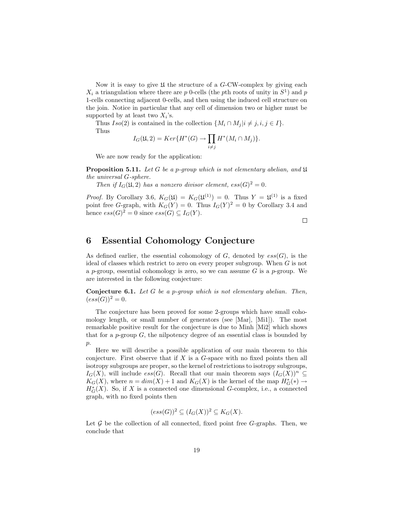Now it is easy to give  $\mathfrak U$  the structure of a G-CW-complex by giving each  $X_i$  a triangulation where there are p 0-cells (the pth roots of unity in  $S^1$ ) and p 1-cells connecting adjacent 0-cells, and then using the induced cell structure on the join. Notice in particular that any cell of dimension two or higher must be supported by at least two  $X_i$ 's.

Thus  $Iso(2)$  is contained in the collection  $\{M_i \cap M_j | i \neq j, i, j \in I\}.$ Thus  $\overline{y}$ 

$$
I_G(\mathfrak{U},2) = Ker\{H^*(G) \to \prod_{i \neq j} H^*(M_i \cap M_j)\}.
$$

We are now ready for the application:

**Proposition 5.11.** Let G be a p-group which is not elementary abelian, and  $\mathfrak{U}$ the universal G-sphere.

Then if  $I_G(\mathfrak{U}, 2)$  has a nonzero divisor element,  $ess(G)^2 = 0$ .

*Proof.* By Corollary 3.6,  $K_G(\mathfrak{U}) = K_G(\mathfrak{U}^{(1)}) = 0$ . Thus  $Y = \mathfrak{U}^{(1)}$  is a fixed point free G-graph, with  $K_G(Y) = 0$ . Thus  $I_G(Y)^2 = 0$  by Corollary 3.4 and hence  $ess(G)^2 = 0$  since  $ess(G) \subseteq I_G(Y)$ .

 $\Box$ 

# 6 Essential Cohomology Conjecture

As defined earlier, the essential cohomology of  $G$ , denoted by  $ess(G)$ , is the ideal of classes which restrict to zero on every proper subgroup. When G is not a p-group, essential cohomology is zero, so we can assume  $G$  is a p-group. We are interested in the following conjecture:

**Conjecture 6.1.** Let G be a p-group which is not elementary abelian. Then,  $(ess(G))^2 = 0.$ 

The conjecture has been proved for some 2-groups which have small cohomology length, or small number of generators (see [Mar], [Mi1]). The most remarkable positive result for the conjecture is due to Minh [Mi2] which shows that for a  $p$ -group  $G$ , the nilpotency degree of an essential class is bounded by  $p$ .

Here we will describe a possible application of our main theorem to this conjecture. First observe that if  $X$  is a  $G$ -space with no fixed points then all isotropy subgroups are proper, so the kernel of restrictions to isotropy subgroups,  $I_G(X)$ , will include  $ess(G)$ . Recall that our main theorem says  $I_G(X))^n \subseteq$  $K_G(X)$ , where  $n = dim(X) + 1$  and  $K_G(X)$  is the kernel of the map  $H^*_G(*) \to$  $H^*_G(X)$ . So, if X is a connected one dimensional G-complex, i.e., a connected graph, with no fixed points then

$$
(ess(G))^2 \subseteq (I_G(X))^2 \subseteq K_G(X).
$$

Let  $\mathcal G$  be the collection of all connected, fixed point free  $G$ -graphs. Then, we conclude that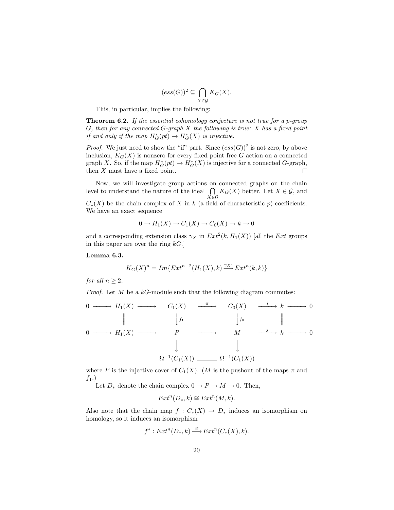$$
(ess(G))^2 \subseteq \bigcap_{X \in \mathcal{G}} K_G(X).
$$

This, in particular, implies the following:

Theorem 6.2. If the essential cohomology conjecture is not true for a p-group G, then for any connected  $G$ -graph  $X$  the following is true:  $X$  has a fixed point if and only if the map  $H^*_G(pt) \to H^*_G(X)$  is injective.

*Proof.* We just need to show the "if" part. Since  $(ess(G))^2$  is not zero, by above inclusion,  $K_G(X)$  is nonzero for every fixed point free G action on a connected graph X. So, if the map  $H^*_{G}(pt) \to H^*_{G}(X)$  is injective for a connected G-graph, then  $X$  must have a fixed point.  $\Box$ 

Now, we will investigate group actions on connected graphs on the chain Now, we will investigate group actions on<br>level to understand the nature of the ideal  $\bigcap$  $\bigcap_{X \in \mathcal{G}} K_G(X)$  better. Let  $X \in \mathcal{G}$ , and  $C_*(X)$  be the chain complex of X in k (a field of characteristic p) coefficients. We have an exact sequence

$$
0 \to H_1(X) \to C_1(X) \to C_0(X) \to k \to 0
$$

and a corresponding extension class  $\gamma_X$  in  $Ext^2(k, H_1(X))$  [all the Ext groups in this paper are over the ring  $kG$ .

Lemma 6.3.

$$
K_G(X)^n = Im\{Ext^{n-2}(H_1(X), k) \xrightarrow{\gamma_X} Ext^n(k, k)\}
$$

for all  $n > 2$ .

*Proof.* Let M be a  $k$ -module such that the following diagram commutes:

0 −−−−→ H1(X) −−−−→ C1(X) <sup>π</sup> −−−−→ C0(X) <sup>i</sup> −−−−→ k −−−−→ 0 ° ° ° y<sup>f</sup><sup>1</sup> y<sup>f</sup><sup>0</sup> ° ° ° 0 −−−−→ H1(X) −−−−→ P −−−−→ M j −−−−→ k −−−−→ 0 y y Ω −1 (C1(X)) Ω −1 (C1(X))

where P is the injective cover of  $C_1(X)$ . (M is the pushout of the maps  $\pi$  and  $f_1$ .)

Let  $D_*$  denote the chain complex  $0 \to P \to M \to 0$ . Then,

$$
Ext^n(D_*,k) \cong Ext^n(M,k).
$$

Also note that the chain map  $f: C_*(X) \to D_*$  induces an isomorphism on homology, so it induces an isomorphism

$$
f^*: Ext^n(D_*, k) \xrightarrow{\cong} Ext^n(C_*(X), k).
$$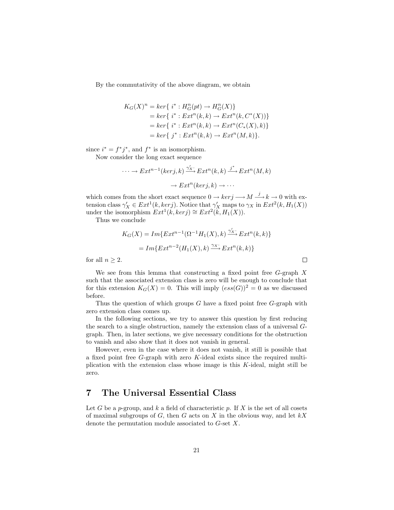By the commutativity of the above diagram, we obtain

$$
K_G(X)^n = \ker\{i^* : H_G^n(pt) \to H_G^n(X)\}
$$
  
=  $\ker\{i^* : Ext^n(k, k) \to Ext^n(k, C^*(X))\}$   
=  $\ker\{i^* : Ext^n(k, k) \to Ext^n(C_*(X), k)\}$   
=  $\ker\{j^* : Ext^n(k, k) \to Ext^n(M, k)\}.$ 

since  $i^* = f^*j^*$ , and  $f^*$  is an isomorphism.

Now consider the long exact sequence

$$
\cdots \to Ext^{n-1}(ker j,k) \xrightarrow{\gamma'_X} Ext^n(k,k) \xrightarrow{j^*} Ext^n(M,k)
$$

$$
\to Ext^n(ker j,k) \to \cdots
$$

which comes from the short exact sequence  $0 \to \ker j \longrightarrow M \stackrel{j}{\longrightarrow} k \to 0$  with extension class  $\gamma'_X \in Ext^1(k, kerj)$ . Notice that  $\gamma'_X$  maps to  $\gamma_X$  in  $Ext^2(k, H_1(X))$ under the isomorphism  $Ext^1(k, kerj) \cong Ext^2(k, H_1(X)).$ 

Thus we conclude

$$
K_G(X) = Im\{Ext^{n-1}(\Omega^{-1}H_1(X), k) \xrightarrow{\gamma'_X} Ext^n(k, k)\}
$$

$$
= Im\{Ext^{n-2}(H_1(X), k) \xrightarrow{\gamma_X} Ext^n(k, k)\}
$$

 $\Box$ 

for all  $n \geq 2$ .

We see from this lemma that constructing a fixed point free  $G$ -graph  $X$ such that the associated extension class is zero will be enough to conclude that for this extension  $K_G(X) = 0$ . This will imply  $(ess(G))^2 = 0$  as we discussed before.

Thus the question of which groups  $G$  have a fixed point free  $G$ -graph with zero extension class comes up.

In the following sections, we try to answer this question by first reducing the search to a single obstruction, namely the extension class of a universal Ggraph. Then, in later sections, we give necessary conditions for the obstruction to vanish and also show that it does not vanish in general.

However, even in the case where it does not vanish, it still is possible that a fixed point free G-graph with zero K-ideal exists since the required multiplication with the extension class whose image is this  $K$ -ideal, might still be zero.

# 7 The Universal Essential Class

Let G be a p-group, and k a field of characteristic p. If X is the set of all cosets of maximal subgroups of  $G$ , then  $G$  acts on  $X$  in the obvious way, and let  $kX$ denote the permutation module associated to G-set X.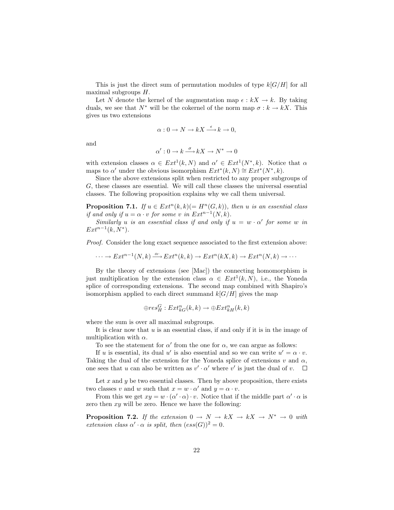This is just the direct sum of permutation modules of type  $k[G/H]$  for all maximal subgroups H.

Let N denote the kernel of the augmentation map  $\epsilon : kX \to k$ . By taking duals, we see that  $N^*$  will be the cokernel of the norm map  $\sigma : k \to kX$ . This gives us two extensions

$$
\alpha: 0 \to N \to kX \xrightarrow{\epsilon} k \to 0,
$$

and

$$
\alpha': 0 \to k \xrightarrow{\sigma} kX \to N^* \to 0
$$

with extension classes  $\alpha \in Ext^1(k, N)$  and  $\alpha' \in Ext^1(N^*, k)$ . Notice that  $\alpha$ maps to  $\alpha'$  under the obvious isomorphism  $Ext^*(k, N) \cong Ext^*(N^*, k)$ .

Since the above extensions split when restricted to any proper subgroups of G, these classes are essential. We will call these classes the universal essential classes. The following proposition explains why we call them universal.

**Proposition 7.1.** If  $u \in Ext^n(k,k) (= H^n(G,k))$ , then u is an essential class if and only if  $u = \alpha \cdot v$  for some v in  $Ext^{n-1}(N, k)$ .

Similarly u is an essential class if and only if  $u = w \cdot \alpha'$  for some w in  $Ext^{n-1}(k, N^*).$ 

Proof. Consider the long exact sequence associated to the first extension above:

 $\cdots \to Ext^{n-1}(N,k) \xrightarrow{\alpha} Ext^{n}(k,k) \to Ext^{n}(kX,k) \to Ext^{n}(N,k) \to \cdots$ 

By the theory of extensions (see [Mac]) the connecting homomorphism is just multiplication by the extension class  $\alpha \in Ext^1(k, N)$ , i.e., the Yoneda splice of corresponding extensions. The second map combined with Shapiro's isomorphism applied to each direct summand  $k[G/H]$  gives the map

$$
\oplus res_H^G: Ext_{kG}^n(k,k) \to \oplus Ext_{kH}^n(k,k)
$$

where the sum is over all maximal subgroups.

It is clear now that  $u$  is an essential class, if and only if it is in the image of multiplication with  $\alpha$ .

To see the statement for  $\alpha'$  from the one for  $\alpha$ , we can argue as follows:

If u is essential, its dual u' is also essential and so we can write  $u' = \alpha \cdot v$ . Taking the dual of the extension for the Yoneda splice of extensions  $v$  and  $\alpha$ , one sees that u can also be written as  $v' \cdot \alpha'$  where v' is just the dual of v.  $\Box$ 

Let x and  $y$  be two essential classes. Then by above proposition, there exists two classes v and w such that  $x = w \cdot \alpha'$  and  $y = \alpha \cdot v$ .

From this we get  $xy = w \cdot (\alpha' \cdot \alpha) \cdot v$ . Notice that if the middle part  $\alpha' \cdot \alpha$  is zero then  $xy$  will be zero. Hence we have the following:

**Proposition 7.2.** If the extension  $0 \to N \to kX \to kX \to N^* \to 0$  with extension class  $\alpha' \cdot \alpha$  is split, then  $(ess(G))^2 = 0$ .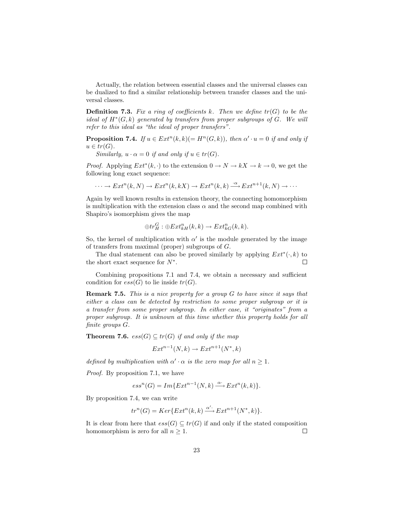Actually, the relation between essential classes and the universal classes can be dualized to find a similar relationship between transfer classes and the universal classes.

**Definition 7.3.** Fix a ring of coefficients k. Then we define  $tr(G)$  to be the ideal of  $H^*(G, k)$  generated by transfers from proper subgroups of  $G$ . We will refer to this ideal as "the ideal of proper transfers".

**Proposition 7.4.** If  $u \in Ext^n(k,k) (= H^n(G,k))$ , then  $\alpha' \cdot u = 0$  if and only if  $u \in tr(G)$ .

Similarly,  $u \cdot \alpha = 0$  if and only if  $u \in tr(G)$ .

*Proof.* Applying  $Ext^*(k, \cdot)$  to the extension  $0 \to N \to kX \to k \to 0$ , we get the following long exact sequence:

 $\cdots \to Ext^{n}(k, N) \to Ext^{n}(k, kX) \to Ext^{n}(k, k) \stackrel{\cdot \alpha}{\longrightarrow} Ext^{n+1}(k, N) \to \cdots$ 

Again by well known results in extension theory, the connecting homomorphism is multiplication with the extension class  $\alpha$  and the second map combined with Shapiro's isomorphism gives the map

$$
\oplus tr_H^G : \oplus Ext_{kH}^n(k, k) \to Ext_{kG}^n(k, k).
$$

So, the kernel of multiplication with  $\alpha'$  is the module generated by the image of transfers from maximal (proper) subgroups of G.

The dual statement can also be proved similarly by applying  $Ext^*(\cdot, k)$  to the short exact sequence for  $N^*$ .  $\Box$ 

Combining propositions 7.1 and 7.4, we obtain a necessary and sufficient condition for  $ess(G)$  to lie inside  $tr(G)$ .

Remark 7.5. This is a nice property for a group G to have since it says that either a class can be detected by restriction to some proper subgroup or it is a transfer from some proper subgroup. In either case, it "originates" from a proper subgroup. It is unknown at this time whether this property holds for all finite groups G.

**Theorem 7.6.**  $ess(G) \subseteq tr(G)$  if and only if the map

$$
Ext^{n-1}(N,k) \to Ext^{n+1}(N^*,k)
$$

defined by multiplication with  $\alpha' \cdot \alpha$  is the zero map for all  $n \geq 1$ .

Proof. By proposition 7.1, we have

$$
ess^{n}(G) = Im\{Ext^{n-1}(N,k) \xrightarrow{\alpha} Ext^{n}(k,k)\}.
$$

By proposition 7.4, we can write

$$
tr^{n}(G) = Ker\{Ext^{n}(k,k) \xrightarrow{\alpha'} Ext^{n+1}(N^*,k)\}.
$$

It is clear from here that  $ess(G) \subseteq tr(G)$  if and only if the stated composition homomorphism is zero for all  $n \geq 1$ .  $\Box$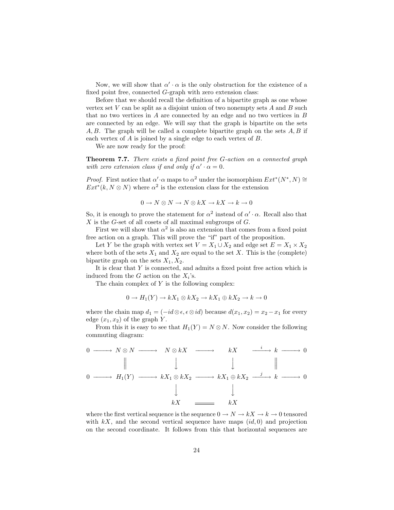Now, we will show that  $\alpha' \cdot \alpha$  is the only obstruction for the existence of a fixed point free, connected G-graph with zero extension class:

Before that we should recall the definition of a bipartite graph as one whose vertex set  $V$  can be split as a disjoint union of two nonempty sets  $A$  and  $B$  such that no two vertices in A are connected by an edge and no two vertices in B are connected by an edge. We will say that the graph is bipartite on the sets  $A, B$ . The graph will be called a complete bipartite graph on the sets  $A, B$  if each vertex of A is joined by a single edge to each vertex of B.

We are now ready for the proof:

Theorem 7.7. There exists a fixed point free G-action on a connected graph with zero extension class if and only if  $\alpha' \cdot \alpha = 0$ .

*Proof.* First notice that  $\alpha' \cdot \alpha$  maps to  $\alpha^2$  under the isomorphism  $Ext^*(N^*, N) \cong$  $Ext^*(k, N \otimes N)$  where  $\alpha^2$  is the extension class for the extension

$$
0 \to N \otimes N \to N \otimes kX \to kX \to k \to 0
$$

So, it is enough to prove the statement for  $\alpha^2$  instead of  $\alpha' \cdot \alpha$ . Recall also that  $X$  is the G-set of all cosets of all maximal subgroups of  $G$ .

First we will show that  $\alpha^2$  is also an extension that comes from a fixed point free action on a graph. This will prove the "if" part of the proposition.

Let Y be the graph with vertex set  $V = X_1 \cup X_2$  and edge set  $E = X_1 \times X_2$ where both of the sets  $X_1$  and  $X_2$  are equal to the set X. This is the (complete) bipartite graph on the sets  $X_1, X_2$ .

It is clear that Y is connected, and admits a fixed point free action which is induced from the  $G$  action on the  $X_i$ 's.

The chain complex of  $Y$  is the following complex:

$$
0 \to H_1(Y) \to kX_1 \otimes kX_2 \to kX_1 \oplus kX_2 \to k \to 0
$$

where the chain map  $d_1 = (-id \otimes \epsilon, \epsilon \otimes id)$  because  $d(x_1, x_2) = x_2 - x_1$  for every edge  $(x_1, x_2)$  of the graph Y.

From this it is easy to see that  $H_1(Y) = N \otimes N$ . Now consider the following commuting diagram:

$$
\begin{array}{ccccccc}\n0 & \longrightarrow & N \otimes N & \longrightarrow & N \otimes kX & \longrightarrow & kX & \xrightarrow{i} & k & \longrightarrow & 0 \\
 & \parallel & & \downarrow & & \downarrow & & \parallel \\
0 & \longrightarrow & H_1(Y) & \longrightarrow & kX_1 \otimes kX_2 & \longrightarrow & kX_1 \oplus kX_2 & \xrightarrow{j} & k & \longrightarrow & 0 \\
 & & \downarrow & & & \downarrow & & & \downarrow & & \\
 & kX & \longrightarrow & & kX & \longrightarrow & kX & \longrightarrow & 0\n\end{array}
$$

where the first vertical sequence is the sequence  $0 \to N \to kX \to k \to 0$  tensored with  $kX$ , and the second vertical sequence have maps  $(id, 0)$  and projection on the second coordinate. It follows from this that horizontal sequences are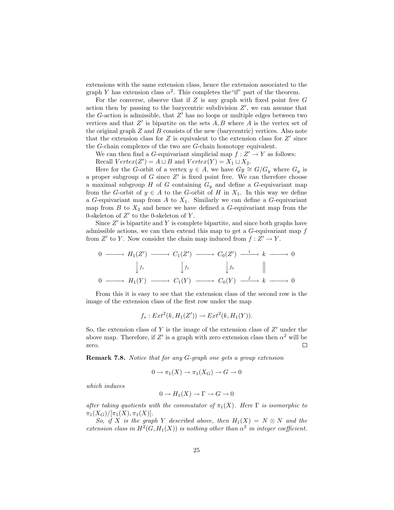extensions with the same extension class, hence the extension associated to the graph Y has extension class  $\alpha^2$ . This completes the "if" part of the theorem.

For the converse, observe that if  $Z$  is any graph with fixed point free  $G$ action then by passing to the barycentric subdivision  $Z'$ , we can assume that the  $G$ -action is admissible, that  $Z'$  has no loops or multiple edges between two vertices and that  $Z'$  is bipartite on the sets  $A, B$  where  $A$  is the vertex set of the original graph  $Z$  and  $B$  consists of the new (barycentric) vertices. Also note that the extension class for  $Z$  is equivalent to the extension class for  $Z'$  since the G-chain complexes of the two are G-chain homotopy equivalent.

We can then find a G-equivariant simplicial map  $f: Z' \to Y$  as follows: Recall  $Vertex(Z') = A \sqcup B$  and  $Vertex(Y) = X_1 \sqcup X_2$ .

Here for the G-orbit of a vertex  $y \in A$ , we have  $G_y \cong G/G_y$  where  $G_y$  is a proper subgroup of  $G$  since  $Z'$  is fixed point free. We can therefore choose a maximal subgroup H of G containing  $G_y$  and define a G-equivariant map from the G-orbit of  $y \in A$  to the G-orbit of H in  $X_1$ . In this way we define a G-equivariant map from  $A$  to  $X_1$ . Similarly we can define a G-equivariant map from  $B$  to  $X_2$  and hence we have defined a  $G$ -equivariant map from the 0-skeleton of  $Z'$  to the 0-skeleton of Y.

Since  $Z'$  is bipartite and Y is complete bipartite, and since both graphs have admissible actions, we can then extend this map to get a G-equivariant map f from Z' to Y. Now consider the chain map induced from  $f: Z' \to Y$ .

$$
0 \longrightarrow H_1(Z') \longrightarrow C_1(Z') \longrightarrow C_0(Z') \longrightarrow k \longrightarrow 0
$$
  
\n
$$
\downarrow f_* \qquad \qquad \downarrow f_1 \qquad \qquad \downarrow f_0 \qquad \parallel
$$
  
\n
$$
0 \longrightarrow H_1(Y) \longrightarrow C_1(Y) \longrightarrow C_0(Y) \longrightarrow k \longrightarrow 0
$$

From this it is easy to see that the extension class of the second row is the image of the extension class of the first row under the map

$$
f_* : Ext^2(k, H_1(Z')) \to Ext^2(k, H_1(Y)).
$$

So, the extension class of  $Y$  is the image of the extension class of  $Z'$  under the above map. Therefore, if Z' is a graph with zero extension class then  $\alpha^2$  will be zero.  $\Box$ 

Remark 7.8. Notice that for any G-graph one gets a group extension

$$
0 \to \pi_1(X) \to \pi_1(X_G) \to G \to 0
$$

which induces

$$
0 \to H_1(X) \to \Gamma \to G \to 0
$$

after taking quotients with the commutator of  $\pi_1(X)$ . Here  $\Gamma$  is isomorphic to  $\pi_1(X_G)/[\pi_1(X), \pi_1(X)].$ 

So, if X is the graph Y described above, then  $H_1(X) = N \otimes N$  and the extension class in  $H^2(G, H_1(X))$  is nothing other than  $\alpha^2$  in integer coefficient.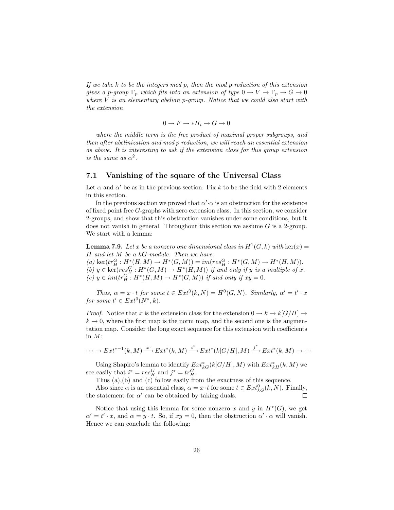If we take k to be the integers mod p, then the mod p reduction of this extension gives a p-group  $\Gamma_p$  which fits into an extension of type  $0 \to V \to \Gamma_p \to G \to 0$ where  $V$  is an elementary abelian p-group. Notice that we could also start with the extension

$$
0 \to F \to \ast H_i \to G \to 0
$$

where the middle term is the free product of maximal proper subgroups, and then after abelinization and mod p reduction, we will reach an essential extension as above. It is interesting to ask if the extension class for this group extension is the same as  $\alpha^2$ .

## 7.1 Vanishing of the square of the Universal Class

Let  $\alpha$  and  $\alpha'$  be as in the previous section. Fix k to be the field with 2 elements in this section.

In the previous section we proved that  $\alpha' \cdot \alpha$  is an obstruction for the existence of fixed point free G-graphs with zero extension class. In this section, we consider 2-groups, and show that this obstruction vanishes under some conditions, but it does not vanish in general. Throughout this section we assume  $G$  is a 2-group. We start with a lemma:

**Lemma 7.9.** Let x be a nonzero one dimensional class in  $H^1(G,k)$  with ker $(x)$  =  $H$  and let  $M$  be a  $kG$ -module. Then we have:

 $(a) \ker(tr_H^G: H^*(H, M) \to H^*(G, M)) = im(res_H^G: H^*(G, M) \to H^*(H, M)).$ 

(b)  $y \in \text{ker}(res_H^G : H^*(G, M) \to H^*(H, M))$  if and only if y is a multiple of x.  $(c) y \in im(tr_H^G : H^*(H, M) \to H^*(G, M))$  if and only if  $xy = 0$ .

Thus,  $\alpha = x \cdot t$  for some  $t \in Ext^0(k, N) = H^0(G, N)$ . Similarly,  $\alpha' = t' \cdot x$ for some  $t' \in Ext^0(N^*, k)$ .

*Proof.* Notice that x is the extension class for the extension  $0 \to k \to k[G/H] \to$  $k \to 0$ , where the first map is the norm map, and the second one is the augmentation map. Consider the long exact sequence for this extension with coefficients in M:

$$
\cdots \to Ext^{*-1}(k,M) \xrightarrow{x} Ext^*(k,M) \xrightarrow{i^*} Ext^*(k[G/H],M) \xrightarrow{j^*} Ext^*(k,M) \to \cdots
$$

Using Shapiro's lemma to identify  $Ext^*_{kG}(k[G/H], M)$  with  $Ext^*_{kH}(k, M)$  we see easily that  $i^* = res_H^G$  and  $j^* = tr_H^G$ .

Thus (a),(b) and (c) follow easily from the exactness of this sequence.

Also since  $\alpha$  is an essential class,  $\alpha = x \cdot t$  for some  $t \in Ext_{kG}^{0}(k, N)$ . Finally, the statement for  $\alpha'$  can be obtained by taking duals.  $\Box$ 

Notice that using this lemma for some nonzero x and y in  $H^*(G)$ , we get  $\alpha' = t' \cdot x$ , and  $\alpha = y \cdot t$ . So, if  $xy = 0$ , then the obstruction  $\alpha' \cdot \alpha$  will vanish. Hence we can conclude the following: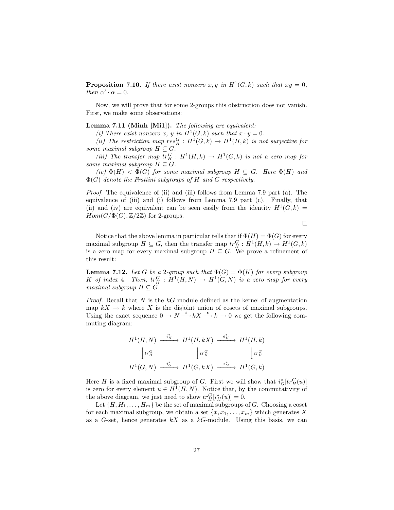**Proposition 7.10.** If there exist nonzero x, y in  $H^1(G,k)$  such that  $xy = 0$ , then  $\alpha' \cdot \alpha = 0$ .

Now, we will prove that for some 2-groups this obstruction does not vanish. First, we make some observations:

#### Lemma 7.11 (Minh [Mi1]). The following are equivalent:

(i) There exist nonzero x, y in  $H^1(G,k)$  such that  $x \cdot y = 0$ .

(ii) The restriction map  $res_H^G : H^1(G,k) \to H^1(H,k)$  is not surjective for some maximal subgroup  $H \subseteq G$ .

(iii) The transfer map  $tr_H^G : H^1(H,k) \to H^1(G,k)$  is not a zero map for some maximal subgroup  $H \subseteq G$ .

(iv)  $\Phi(H) < \Phi(G)$  for some maximal subgroup  $H \subseteq G$ . Here  $\Phi(H)$  and  $\Phi(G)$  denote the Frattini subgroups of H and G respectively.

Proof. The equivalence of (ii) and (iii) follows from Lemma 7.9 part (a). The equivalence of (iii) and (i) follows from Lemma 7.9 part (c). Finally, that (ii) and (iv) are equivalent can be seen easily from the identity  $H^1(G, k) =$  $Hom(G/\Phi(G), \mathbb{Z}/2\mathbb{Z})$  for 2-groups.

 $\Box$ 

Notice that the above lemma in particular tells that if  $\Phi(H) = \Phi(G)$  for every maximal subgroup  $H \subseteq G$ , then the transfer map  $tr_H^G : H^1(H,k) \to H^1(G,k)$ is a zero map for every maximal subgroup  $H \subseteq G$ . We prove a refinement of this result:

**Lemma 7.12.** Let G be a 2-group such that  $\Phi(G) = \Phi(K)$  for every subgroup K of index 4. Then,  $tr_H^G : H^1(H, N) \to H^1(G, N)$  is a zero map for every maximal subgroup  $H \subseteq G$ .

*Proof.* Recall that  $N$  is the  $kG$  module defined as the kernel of augmentation map  $kX \to k$  where X is the disjoint union of cosets of maximal subgroups. Using the exact sequence  $0 \to N \xrightarrow{i} kX \xrightarrow{\epsilon} k \to 0$  we get the following commuting diagram:

$$
H^{1}(H, N) \xrightarrow{i_{H}^{*}} H^{1}(H, kX) \xrightarrow{\epsilon_{H}^{*}} H^{1}(H, k)
$$

$$
\downarrow \text{tr}_{H}^{G} \qquad \qquad \downarrow \text{tr}_{H}^{G} \qquad \qquad \downarrow \text{tr}_{H}^{G}
$$

$$
H^{1}(G, N) \xrightarrow{i_{G}^{*}} H^{1}(G, kX) \xrightarrow{\epsilon_{G}^{*}} H^{1}(G, k)
$$

Here H is a fixed maximal subgroup of G. First we will show that  $i_G^*[tr_H^G(u)]$ is zero for every element  $u \in H^1(H, N)$ . Notice that, by the commutativity of the above diagram, we just need to show  $tr_H^G[i_H^*(u)] = 0$ .

Let  $\{H, H_1, \ldots, H_m\}$  be the set of maximal subgroups of G. Choosing a coset for each maximal subgroup, we obtain a set  $\{x, x_1, \ldots, x_m\}$  which generates X as a  $G$ -set, hence generates  $kX$  as a  $kG$ -module. Using this basis, we can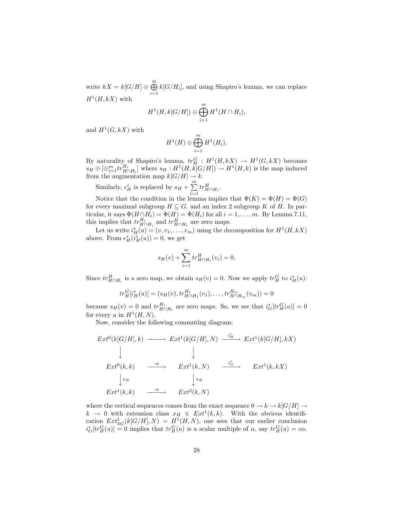write  $kX = k[G/H] \oplus \bigoplus^m$  $\bigoplus_{i=1} k[G/H_i]$ , and using Shapiro's lemma, we can replace  $H^1(H, kX)$  with

$$
H^1(H, k[G/H]) \oplus \bigoplus_{i=1}^m H^1(H \cap H_i),
$$

and  $H^1(G, kX)$  with

$$
H^1(H) \oplus \bigoplus_{i=1}^m H^1(H_i).
$$

By naturality of Shapiro's lemma,  $tr_H^G: H^1(H, kX) \to H^1(G, kX)$  becomes  $s_H \oplus [\bigoplus_{i=1}^m tr^{H_i}_{H \cap H_i}]$  where  $s_H : H^1(H, \kappa[G/H]) \to H^1(H, k)$  is the map induced from the augmentation map  $k[G/H] \to k$ .

Similarly,  $\epsilon_H^*$  is replaced by  $s_H + \sum_{n=1}^{\infty}$  $i=1$  $tr^H_{H\cap H_i}$ .

Notice that the condition in the lemma implies that  $\Phi(K) = \Phi(H) = \Phi(G)$ for every maximal subgroup  $H \subseteq G$ , and an index 2 subgroup K of H. In particular, it says  $\Phi(H \cap H_i) = \Phi(H) = \Phi(H_i)$  for all  $i = 1, ..., m$ . By Lemma 7.11, this implies that  $tr_{H \cap H_i}^{H_i}$  and  $tr_{H \cap H_i}^H$  are zero maps.

Let us write  $i_H^*(u) = (v, v_1, \dots, v_m)$  using the decomposition for  $H^1(H, kX)$ above. From  $\epsilon^*_{H}(i^*_{H}(u)) = 0$ , we get

$$
s_H(v) + \sum_{i=1}^m tr^H_{H \cap H_i}(v_i) = 0.
$$

Since  $tr_{H\cap H_i}^H$  is a zero map, we obtain  $s_H(v) = 0$ . Now we apply  $tr_H^G$  to  $i_H^*(u)$ :

$$
tr_H^G[i_H^*(u)] = (s_H(v), tr_{H \cap H_1}^{H_1}(v_1), \dots, tr_{H \cap H_m}^{H_m}(v_m)) = 0
$$

because  $s_H(v) = 0$  and  $tr_{H \cap H_i}^{H_i}$  are zero maps. So, we see that  $i_G^*[tr_H^G(u)] = 0$ for every u in  $H^1(H, N)$ .

Now, consider the following commuting diagram:

$$
Ext^{0}(k[G/H],k) \longrightarrow Ext^{1}(k[G/H],N) \xrightarrow{i^{*}_{H}} Ext^{1}(k[G/H],kX)
$$
  
\n
$$
\downarrow \qquad \qquad \downarrow
$$
  
\n
$$
Ext^{0}(k,k) \xrightarrow{\cdot\alpha} Ext^{1}(k,N) \xrightarrow{\cdot i^{*}_{G}} Ext^{1}(k,kX)
$$
  
\n
$$
\downarrow x_{H}
$$
  
\n
$$
Ext^{1}(k,k) \xrightarrow{\cdot\alpha} Ext^{2}(k,N)
$$

where the vertical sequences comes from the exact sequence  $0 \to k \to k[G/H] \to$  $k \to 0$  with extension class  $x_H \in Ext^1(k, k)$ . With the obvious identification  $Ext^1_{kG}(k[G/H], N) = H^1(H, N)$ , one sees that our earlier conclusion  $i_G^*[tr_H^G(u)] = 0$  implies that  $tr_H^G(u)$  is a scalar multiple of  $\alpha$ , say  $tr_H^G(u) = c\alpha$ .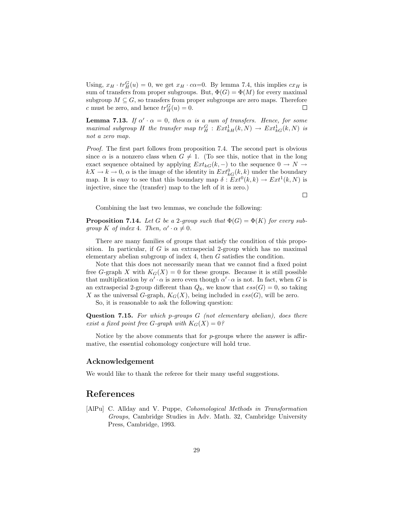Using,  $x_H \cdot tr_H^G(u) = 0$ , we get  $x_H \cdot c\alpha = 0$ . By lemma 7.4, this implies  $cx_H$  is sum of transfers from proper subgroups. But,  $\Phi(G) = \Phi(M)$  for every maximal subgroup  $M \subseteq G$ , so transfers from proper subgroups are zero maps. Therefore c must be zero, and hence  $tr_H^G(u) = 0$ .  $\Box$ 

**Lemma 7.13.** If  $\alpha' \cdot \alpha = 0$ , then  $\alpha$  is a sum of transfers. Hence, for some maximal subgroup H the transfer map  $tr_H^G : Ext_{kH}^1(k, N) \to Ext_{kG}^1(k, N)$  is not a zero map.

Proof. The first part follows from proposition 7.4. The second part is obvious since  $\alpha$  is a nonzero class when  $G \neq 1$ . (To see this, notice that in the long exact sequence obtained by applying  $Ext_{kG}(k, -)$  to the sequence  $0 \rightarrow N \rightarrow$  $kX \to k \to 0$ ,  $\alpha$  is the image of the identity in  $Ext^0_{kG}(k, k)$  under the boundary map. It is easy to see that this boundary map  $\delta: Ext^0(k, k) \to Ext^1(k, N)$  is injective, since the (transfer) map to the left of it is zero.)

 $\Box$ 

Combining the last two lemmas, we conclude the following:

**Proposition 7.14.** Let G be a 2-group such that  $\Phi(G) = \Phi(K)$  for every subgroup K of index 4. Then,  $\alpha' \cdot \alpha \neq 0$ .

There are many families of groups that satisfy the condition of this proposition. In particular, if G is an extraspecial 2-group which has no maximal elementary abelian subgroup of index 4, then G satisfies the condition.

Note that this does not necessarily mean that we cannot find a fixed point free G-graph X with  $K_G(X) = 0$  for these groups. Because it is still possible that multiplication by  $\alpha' \cdot \alpha$  is zero even though  $\alpha' \cdot \alpha$  is not. In fact, when G is an extraspecial 2-group different than  $Q_8$ , we know that  $ess(G) = 0$ , so taking X as the universal G-graph,  $K_G(X)$ , being included in  $ess(G)$ , will be zero.

So, it is reasonable to ask the following question:

**Question 7.15.** For which p-groups  $G$  (not elementary abelian), does there exist a fixed point free G-graph with  $K_G(X) = 0$ ?

Notice by the above comments that for  $p$ -groups where the answer is affirmative, the essential cohomology conjecture will hold true.

#### Acknowledgement

We would like to thank the referee for their many useful suggestions.

# References

[AlPu] C. Allday and V. Puppe, Cohomological Methods in Transformation Groups, Cambridge Studies in Adv. Math. 32, Cambridge University Press, Cambridge, 1993.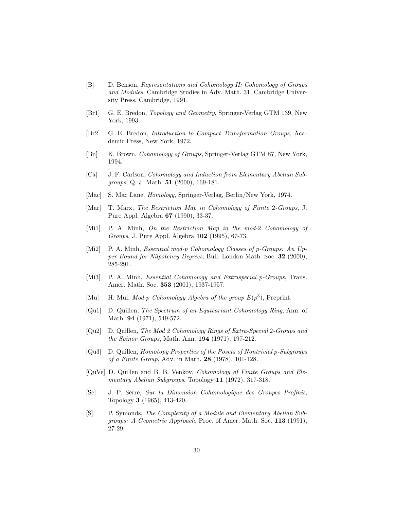- [B] D. Benson, Representations and Cohomology II: Cohomology of Groups and Modules, Cambridge Studies in Adv. Math. 31, Cambridge University Press, Cambridge, 1991.
- [Br1] G. E. Bredon, Topology and Geometry, Springer-Verlag GTM 139, New York, 1993.
- [Br2] G. E. Bredon, Introduction to Compact Transformation Groups, Academic Press, New York, 1972.
- [Bn] K. Brown, *Cohomology of Groups*, Springer-Verlag GTM 87, New York, 1994.
- [Ca] J. F. Carlson, Cohomology and Induction from Elementary Abelian Subgroups, Q. J. Math. 51 (2000), 169-181.
- [Mac] S. Mac Lane, Homology, Springer-Verlag, Berlin/New York, 1974.
- [Mar] T. Marx, The Restriction Map in Cohomology of Finite 2-Groups, J. Pure Appl. Algebra 67 (1990), 33-37.
- [Mi1] P. A. Minh, On the Restriction Map in the mod-2 Cohomology of Groups, J. Pure Appl. Algebra 102 (1995), 67-73.
- [Mi2] P. A. Minh, *Essential mod-p Cohomology Classes of p-Groups: An Up*per Bound for Nilpotency Degrees, Bull. London Math. Soc. 32 (2000), 285-291.
- [Mi3] P. A. Minh, *Essential Cohomology and Extraspecial p-Groups*, Trans. Amer. Math. Soc. 353 (2001), 1937-1957.
- [Mu] H. Mui, Mod p Cohomology Algebra of the group  $E(p^3)$ , Preprint.
- [Qu1] D. Quillen, The Spectrum of an Equivariant Cohomology Ring, Ann. of Math. 94 (1971), 549-572.
- [Qu2] D. Quillen, The Mod 2 Cohomology Rings of Extra-Special 2-Groups and the Spinor Groups, Math. Ann. 194 (1971), 197-212.
- [Qu3] D. Quillen, Homotopy Properties of the Posets of Nontrivial p-Subgroups of a Finite Group, Adv. in Math. 28 (1978), 101-128.
- [QuVe] D. Quillen and B. B. Venkov, Cohomology of Finite Groups and Elementary Abelian Subgroups, Topology 11 (1972), 317-318.
- [Se] J. P. Serre, Sur la Dimension Cohomologique des Groupes Profinis, Topology 3 (1965), 413-420.
- [S] P. Symonds, The Complexity of a Module and Elementary Abelian Subgroups: A Geometric Approach, Proc. of Amer. Math. Soc. 113 (1991), 27-29.